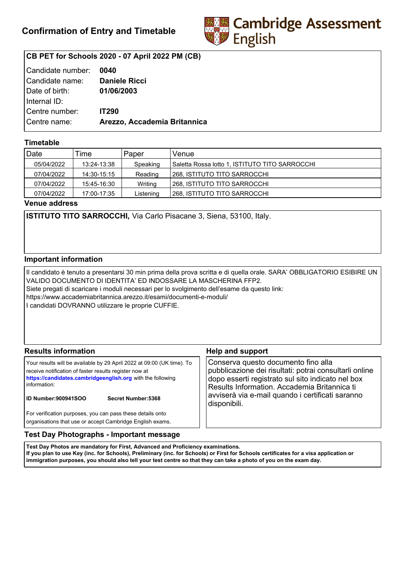

# **CB PET for Schools 2020 - 07 April 2022 PM (CB)**

| Candidate number:   | 0040                         |
|---------------------|------------------------------|
| l Candidate name: l | <b>Daniele Ricci</b>         |
| Date of birth:      | 01/06/2003                   |
| Internal ID:        |                              |
| Centre number:      | <b>IT290</b>                 |
| Centre name:        | Arezzo, Accademia Britannica |
|                     |                              |

## **Timetable**

| Date       | Time        | Paper     | Venue                                          |
|------------|-------------|-----------|------------------------------------------------|
| 05/04/2022 | 13:24-13:38 | Speaking  | Saletta Rossa lotto 1, ISTITUTO TITO SARROCCHI |
| 07/04/2022 | 14:30-15:15 | Reading   | 268, ISTITUTO TITO SARROCCHI                   |
| 07/04/2022 | 15:45-16:30 | Writing   | 1268. ISTITUTO TITO SARROCCHI                  |
| 07/04/2022 | 17:00-17:35 | Listening | l 268. ISTITUTO TITO SARROCCHI                 |

**Venue address**

**ISTITUTO TITO SARROCCHI,** Via Carlo Pisacane 3, Siena, 53100, Italy.

### **Important information**

Il candidato è tenuto a presentarsi 30 min prima della prova scritta e di quella orale. SARA' OBBLIGATORIO ESIBIRE UN VALIDO DOCUMENTO DI IDENTITA' ED INDOSSARE LA MASCHERINA FFP2. Siete pregati di scaricare i moduli necessari per lo svolgimento dell'esame da questo link: https://www.accademiabritannica.arezzo.it/esami/documenti-e-moduli/ I candidati DOVRANNO utilizzare le proprie CUFFIE.

| <b>Results information</b>                                                                                                                                                                                                                                   | <b>Help and support</b>                                                                                                                                                                                                                                                |
|--------------------------------------------------------------------------------------------------------------------------------------------------------------------------------------------------------------------------------------------------------------|------------------------------------------------------------------------------------------------------------------------------------------------------------------------------------------------------------------------------------------------------------------------|
| Your results will be available by 29 April 2022 at 09:00 (UK time). To<br>receive notification of faster results register now at<br>https://candidates.cambridgeenglish.org with the following<br>information:<br>ID Number:900941SOO<br>Secret Number: 5368 | Conserva questo documento fino alla<br>pubblicazione dei risultati: potrai consultarli online<br>dopo esserti registrato sul sito indicato nel box<br>Results Information. Accademia Britannica ti<br>avviserà via e-mail quando i certificati saranno<br>disponibili. |
| For verification purposes, you can pass these details onto<br>organisations that use or accept Cambridge English exams.                                                                                                                                      |                                                                                                                                                                                                                                                                        |

### **Test Day Photographs - Important message**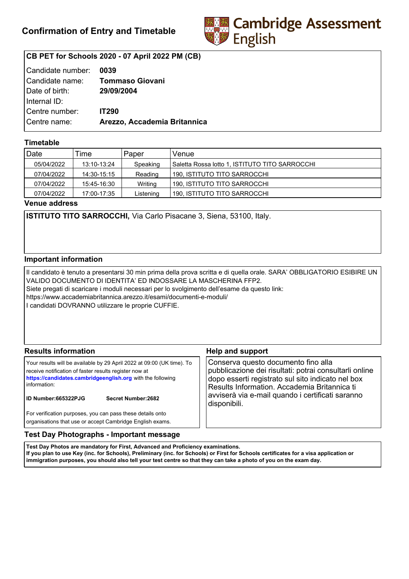

# **CB PET for Schools 2020 - 07 April 2022 PM (CB)**

| Candidate number: | 0039                         |
|-------------------|------------------------------|
| Candidate name:   | <b>Tommaso Giovani</b>       |
| Date of birth:    | 29/09/2004                   |
| Internal ID:      |                              |
| Centre number:    | <b>IT290</b>                 |
| Centre name:      | Arezzo, Accademia Britannica |
|                   |                              |

## **Timetable**

| Date       | Time        | Paper     | Venue                                           |
|------------|-------------|-----------|-------------------------------------------------|
| 05/04/2022 | 13:10-13:24 | Speaking  | Saletta Rossa lotto 1, ISTITUTO TITO SARROCCHII |
| 07/04/2022 | 14:30-15:15 | Reading   | 190. ISTITUTO TITO SARROCCHI                    |
| 07/04/2022 | 15:45-16:30 | Writing   | 190. ISTITUTO TITO SARROCCHI                    |
| 07/04/2022 | 17:00-17:35 | Listening | 190, ISTITUTO TITO SARROCCHI                    |

**Venue address**

**ISTITUTO TITO SARROCCHI,** Via Carlo Pisacane 3, Siena, 53100, Italy.

### **Important information**

Il candidato è tenuto a presentarsi 30 min prima della prova scritta e di quella orale. SARA' OBBLIGATORIO ESIBIRE UN VALIDO DOCUMENTO DI IDENTITA' ED INDOSSARE LA MASCHERINA FFP2. Siete pregati di scaricare i moduli necessari per lo svolgimento dell'esame da questo link: https://www.accademiabritannica.arezzo.it/esami/documenti-e-moduli/ I candidati DOVRANNO utilizzare le proprie CUFFIE.

| <b>Results information</b>                                                                                                                                                                                                                                   | <b>Help and support</b>                                                                                                                                                                                                                                                |
|--------------------------------------------------------------------------------------------------------------------------------------------------------------------------------------------------------------------------------------------------------------|------------------------------------------------------------------------------------------------------------------------------------------------------------------------------------------------------------------------------------------------------------------------|
| Your results will be available by 29 April 2022 at 09:00 (UK time). To<br>receive notification of faster results register now at<br>https://candidates.cambridgeenglish.org with the following<br>information:<br>ID Number:665322PJG<br>Secret Number: 2682 | Conserva questo documento fino alla<br>pubblicazione dei risultati: potrai consultarli online<br>dopo esserti registrato sul sito indicato nel box<br>Results Information. Accademia Britannica ti<br>avviserà via e-mail quando i certificati saranno<br>disponibili. |
| For verification purposes, you can pass these details onto<br>organisations that use or accept Cambridge English exams.                                                                                                                                      |                                                                                                                                                                                                                                                                        |

### **Test Day Photographs - Important message**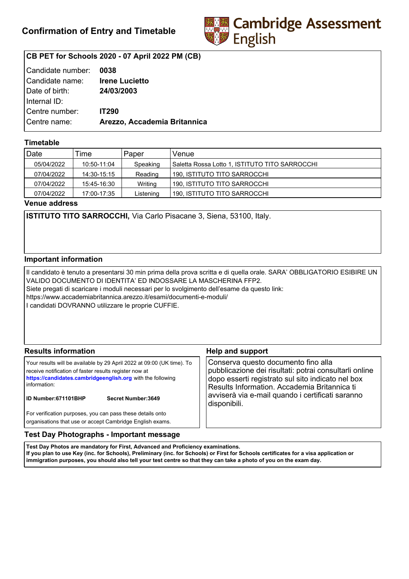

# **CB PET for Schools 2020 - 07 April 2022 PM (CB)**

| Candidate number: | 0038                         |
|-------------------|------------------------------|
| Candidate name:   | <b>Irene Lucietto</b>        |
| Date of birth:    | 24/03/2003                   |
| Internal ID:      |                              |
| Centre number:    | <b>IT290</b>                 |
| Centre name:      | Arezzo, Accademia Britannica |
|                   |                              |

## **Timetable**

| Date       | Time        | Paper     | Venue                                          |
|------------|-------------|-----------|------------------------------------------------|
| 05/04/2022 | 10:50-11:04 | Speaking  | Saletta Rossa Lotto 1, ISTITUTO TITO SARROCCHI |
| 07/04/2022 | 14:30-15:15 | Reading   | 190. ISTITUTO TITO SARROCCHI                   |
| 07/04/2022 | 15:45-16:30 | Writing   | 190. ISTITUTO TITO SARROCCHI                   |
| 07/04/2022 | 17:00-17:35 | Listening | 190, ISTITUTO TITO SARROCCHI                   |

**Venue address**

**ISTITUTO TITO SARROCCHI,** Via Carlo Pisacane 3, Siena, 53100, Italy.

### **Important information**

Il candidato è tenuto a presentarsi 30 min prima della prova scritta e di quella orale. SARA' OBBLIGATORIO ESIBIRE UN VALIDO DOCUMENTO DI IDENTITA' ED INDOSSARE LA MASCHERINA FFP2. Siete pregati di scaricare i moduli necessari per lo svolgimento dell'esame da questo link: https://www.accademiabritannica.arezzo.it/esami/documenti-e-moduli/ I candidati DOVRANNO utilizzare le proprie CUFFIE.

| <b>Results information</b>                                                                                                                                                                                                                                          | <b>Help and support</b>                                                                                                                                                                                                                                                |
|---------------------------------------------------------------------------------------------------------------------------------------------------------------------------------------------------------------------------------------------------------------------|------------------------------------------------------------------------------------------------------------------------------------------------------------------------------------------------------------------------------------------------------------------------|
| Your results will be available by 29 April 2022 at 09:00 (UK time). To<br>receive notification of faster results register now at<br>https://candidates.cambridgeenglish.org with the following<br>information:<br><b>ID Number:671101BHP</b><br>Secret Number: 3649 | Conserva questo documento fino alla<br>pubblicazione dei risultati: potrai consultarli online<br>dopo esserti registrato sul sito indicato nel box<br>Results Information. Accademia Britannica ti<br>avviserà via e-mail quando i certificati saranno<br>disponibili. |
| For verification purposes, you can pass these details onto<br>organisations that use or accept Cambridge English exams.                                                                                                                                             |                                                                                                                                                                                                                                                                        |

### **Test Day Photographs - Important message**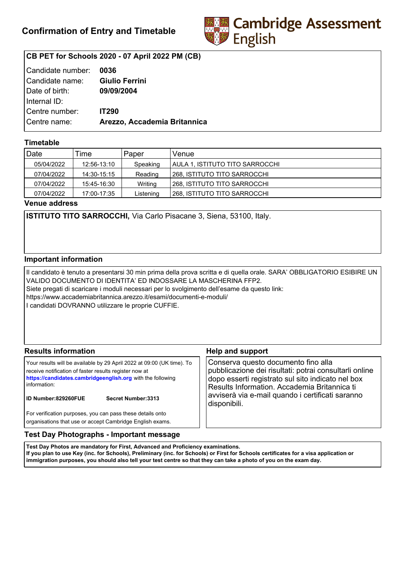

# **CB PET for Schools 2020 - 07 April 2022 PM (CB)**

| l Candidate number: | 0036                         |
|---------------------|------------------------------|
| Candidate name:     | <b>Giulio Ferrini</b>        |
| Date of birth:      | 09/09/2004                   |
| Internal ID:        |                              |
| l Centre number:    | <b>IT290</b>                 |
| Centre name:        | Arezzo, Accademia Britannica |
|                     |                              |

## **Timetable**

| Date       | Time        | Paper     | Venue                           |
|------------|-------------|-----------|---------------------------------|
| 05/04/2022 | 12:56-13:10 | Speaking  | AULA 1. ISTITUTO TITO SARROCCHI |
| 07/04/2022 | 14:30-15:15 | Reading   | l 268. ISTITUTO TITO SARROCCHI  |
| 07/04/2022 | 15:45-16:30 | Writing   | l 268. ISTITUTO TITO SARROCCHI  |
| 07/04/2022 | 17:00-17:35 | Listening | 268, ISTITUTO TITO SARROCCHI    |

**Venue address**

**ISTITUTO TITO SARROCCHI,** Via Carlo Pisacane 3, Siena, 53100, Italy.

### **Important information**

Il candidato è tenuto a presentarsi 30 min prima della prova scritta e di quella orale. SARA' OBBLIGATORIO ESIBIRE UN VALIDO DOCUMENTO DI IDENTITA' ED INDOSSARE LA MASCHERINA FFP2. Siete pregati di scaricare i moduli necessari per lo svolgimento dell'esame da questo link: https://www.accademiabritannica.arezzo.it/esami/documenti-e-moduli/ I candidati DOVRANNO utilizzare le proprie CUFFIE.

| <b>Results information</b>                                                                                                                                                                                                                                          | <b>Help and support</b>                                                                                                                                                                                                                                                |
|---------------------------------------------------------------------------------------------------------------------------------------------------------------------------------------------------------------------------------------------------------------------|------------------------------------------------------------------------------------------------------------------------------------------------------------------------------------------------------------------------------------------------------------------------|
| Your results will be available by 29 April 2022 at 09:00 (UK time). To<br>receive notification of faster results register now at<br>https://candidates.cambridgeenglish.org with the following<br>information:<br><b>ID Number:829260FUE</b><br>Secret Number: 3313 | Conserva questo documento fino alla<br>pubblicazione dei risultati: potrai consultarli online<br>dopo esserti registrato sul sito indicato nel box<br>Results Information. Accademia Britannica ti<br>avviserà via e-mail quando i certificati saranno<br>disponibili. |
| For verification purposes, you can pass these details onto<br>organisations that use or accept Cambridge English exams.                                                                                                                                             |                                                                                                                                                                                                                                                                        |

### **Test Day Photographs - Important message**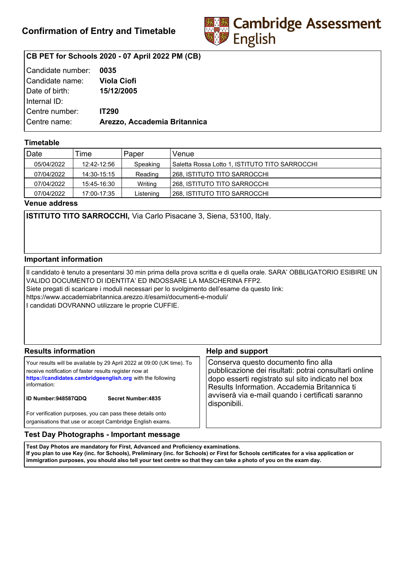

# **CB PET for Schools 2020 - 07 April 2022 PM (CB)**

| Candidate number: | 0035                         |
|-------------------|------------------------------|
| Candidate name:   | <b>Viola Ciofi</b>           |
| Date of birth:    | 15/12/2005                   |
| Internal ID:      |                              |
| Centre number:    | <b>IT290</b>                 |
| Centre name:      | Arezzo, Accademia Britannica |
|                   |                              |

## **Timetable**

| Date       | Time        | Paper     | Venue                                          |
|------------|-------------|-----------|------------------------------------------------|
| 05/04/2022 | 12:42-12:56 | Speaking  | Saletta Rossa Lotto 1, ISTITUTO TITO SARROCCHI |
| 07/04/2022 | 14:30-15:15 | Reading   | l 268. ISTITUTO TITO SARROCCHI                 |
| 07/04/2022 | 15:45-16:30 | Writing   | 268. ISTITUTO TITO SARROCCHI                   |
| 07/04/2022 | 17:00-17:35 | Listening | l 268. ISTITUTO TITO SARROCCHI                 |

**Venue address**

**ISTITUTO TITO SARROCCHI,** Via Carlo Pisacane 3, Siena, 53100, Italy.

### **Important information**

Il candidato è tenuto a presentarsi 30 min prima della prova scritta e di quella orale. SARA' OBBLIGATORIO ESIBIRE UN VALIDO DOCUMENTO DI IDENTITA' ED INDOSSARE LA MASCHERINA FFP2. Siete pregati di scaricare i moduli necessari per lo svolgimento dell'esame da questo link: https://www.accademiabritannica.arezzo.it/esami/documenti-e-moduli/ I candidati DOVRANNO utilizzare le proprie CUFFIE.

| <b>Results information</b>                                                                                                                                                                                                                                          | <b>Help and support</b>                                                                                                                                                                                                                                                |
|---------------------------------------------------------------------------------------------------------------------------------------------------------------------------------------------------------------------------------------------------------------------|------------------------------------------------------------------------------------------------------------------------------------------------------------------------------------------------------------------------------------------------------------------------|
| Your results will be available by 29 April 2022 at 09:00 (UK time). To<br>receive notification of faster results register now at<br>https://candidates.cambridgeenglish.org with the following<br>information:<br><b>ID Number:948587QDQ</b><br>Secret Number: 4835 | Conserva questo documento fino alla<br>pubblicazione dei risultati: potrai consultarli online<br>dopo esserti registrato sul sito indicato nel box<br>Results Information. Accademia Britannica ti<br>avviserà via e-mail quando i certificati saranno<br>disponibili. |
| For verification purposes, you can pass these details onto<br>organisations that use or accept Cambridge English exams.                                                                                                                                             |                                                                                                                                                                                                                                                                        |

### **Test Day Photographs - Important message**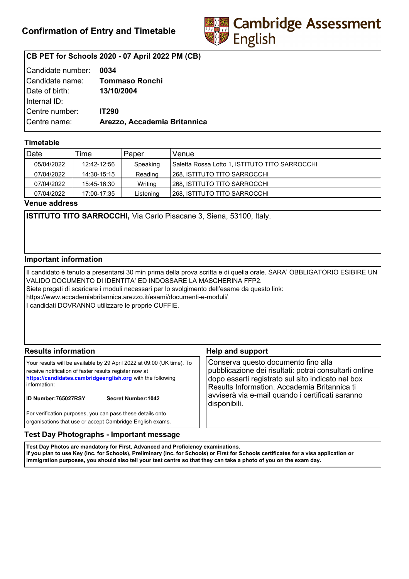

# **CB PET for Schools 2020 - 07 April 2022 PM (CB)**

| Candidate number: | 0034                         |
|-------------------|------------------------------|
| Candidate name:   | <b>Tommaso Ronchi</b>        |
| Date of birth:    | 13/10/2004                   |
| Internal ID:      |                              |
| Centre number:    | <b>IT290</b>                 |
| Centre name:      | Arezzo, Accademia Britannica |
|                   |                              |

## **Timetable**

| Date       | Time        | Paper     | Venue                                          |
|------------|-------------|-----------|------------------------------------------------|
| 05/04/2022 | 12:42-12:56 | Speaking  | Saletta Rossa Lotto 1, ISTITUTO TITO SARROCCHI |
| 07/04/2022 | 14:30-15:15 | Reading   | 268, ISTITUTO TITO SARROCCHI                   |
| 07/04/2022 | 15:45-16:30 | Writing   | 1268. ISTITUTO TITO SARROCCHI                  |
| 07/04/2022 | 17:00-17:35 | Listening | l 268. ISTITUTO TITO SARROCCHI                 |

**Venue address**

**ISTITUTO TITO SARROCCHI,** Via Carlo Pisacane 3, Siena, 53100, Italy.

### **Important information**

Il candidato è tenuto a presentarsi 30 min prima della prova scritta e di quella orale. SARA' OBBLIGATORIO ESIBIRE UN VALIDO DOCUMENTO DI IDENTITA' ED INDOSSARE LA MASCHERINA FFP2. Siete pregati di scaricare i moduli necessari per lo svolgimento dell'esame da questo link: https://www.accademiabritannica.arezzo.it/esami/documenti-e-moduli/ I candidati DOVRANNO utilizzare le proprie CUFFIE.

| <b>Results information</b>                                                                                                                                                                                                                                          | <b>Help and support</b>                                                                                                                                                                                                                                                |
|---------------------------------------------------------------------------------------------------------------------------------------------------------------------------------------------------------------------------------------------------------------------|------------------------------------------------------------------------------------------------------------------------------------------------------------------------------------------------------------------------------------------------------------------------|
| Your results will be available by 29 April 2022 at 09:00 (UK time). To<br>receive notification of faster results register now at<br>https://candidates.cambridgeenglish.org with the following<br>information:<br><b>ID Number:765027RSY</b><br>Secret Number: 1042 | Conserva questo documento fino alla<br>pubblicazione dei risultati: potrai consultarli online<br>dopo esserti registrato sul sito indicato nel box<br>Results Information. Accademia Britannica ti<br>avviserà via e-mail quando i certificati saranno<br>disponibili. |
| For verification purposes, you can pass these details onto<br>organisations that use or accept Cambridge English exams.                                                                                                                                             |                                                                                                                                                                                                                                                                        |

### **Test Day Photographs - Important message**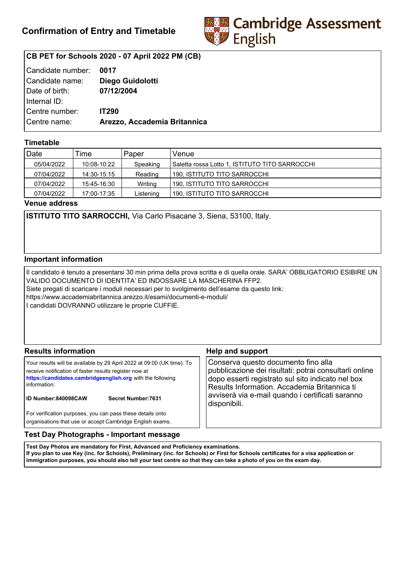

# **CB PET for Schools 2020 - 07 April 2022 PM (CB)**

| Candidate number: | 0017                         |
|-------------------|------------------------------|
| Candidate name:   | Diego Guidolotti             |
| Date of birth:    | 07/12/2004                   |
| Internal ID:      |                              |
| Centre number:    | <b>IT290</b>                 |
| Centre name:      | Arezzo, Accademia Britannica |
|                   |                              |

## **Timetable**

| Date       | Time        | Paper     | Venue                                          |
|------------|-------------|-----------|------------------------------------------------|
| 05/04/2022 | 10:08-10:22 | Speaking  | Saletta rossa Lotto 1, ISTITUTO TITO SARROCCHI |
| 07/04/2022 | 14:30-15:15 | Reading   | 190. ISTITUTO TITO SARROCCHI                   |
| 07/04/2022 | 15:45-16:30 | Writing   | 190. ISTITUTO TITO SARROCCHI                   |
| 07/04/2022 | 17:00-17:35 | Listening | 190, ISTITUTO TITO SARROCCHI                   |

**Venue address**

**ISTITUTO TITO SARROCCHI,** Via Carlo Pisacane 3, Siena, 53100, Italy.

### **Important information**

Il candidato è tenuto a presentarsi 30 min prima della prova scritta e di quella orale. SARA' OBBLIGATORIO ESIBIRE UN VALIDO DOCUMENTO DI IDENTITA' ED INDOSSARE LA MASCHERINA FFP2. Siete pregati di scaricare i moduli necessari per lo svolgimento dell'esame da questo link: https://www.accademiabritannica.arezzo.it/esami/documenti-e-moduli/ I candidati DOVRANNO utilizzare le proprie CUFFIE.

| <b>Results information</b>                                                                                                                                                                                                                                   | <b>Help and support</b>                                                                                                                                                                                                                                                |
|--------------------------------------------------------------------------------------------------------------------------------------------------------------------------------------------------------------------------------------------------------------|------------------------------------------------------------------------------------------------------------------------------------------------------------------------------------------------------------------------------------------------------------------------|
| Your results will be available by 29 April 2022 at 09:00 (UK time). To<br>receive notification of faster results register now at<br>https://candidates.cambridgeenglish.org with the following<br>information:<br>ID Number:840098CAW<br>Secret Number: 7631 | Conserva questo documento fino alla<br>pubblicazione dei risultati: potrai consultarli online<br>dopo esserti registrato sul sito indicato nel box<br>Results Information. Accademia Britannica ti<br>avviserà via e-mail quando i certificati saranno<br>disponibili. |
| For verification purposes, you can pass these details onto<br>organisations that use or accept Cambridge English exams.                                                                                                                                      |                                                                                                                                                                                                                                                                        |

### **Test Day Photographs - Important message**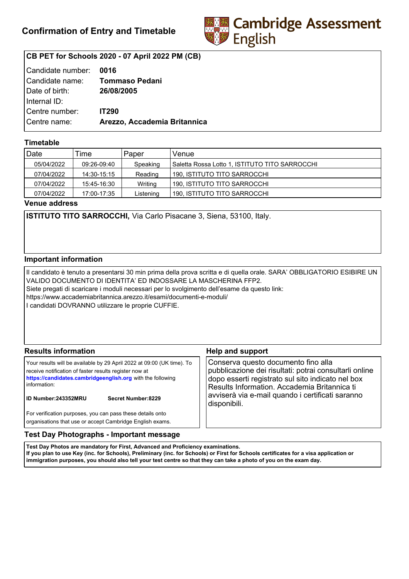

# **CB PET for Schools 2020 - 07 April 2022 PM (CB)**

| Candidate number: | 0016                         |
|-------------------|------------------------------|
| Candidate name:   | Tommaso Pedani               |
| Date of birth:    | 26/08/2005                   |
| Internal ID:      |                              |
| Centre number:    | <b>IT290</b>                 |
| Centre name:      | Arezzo, Accademia Britannica |
|                   |                              |

## **Timetable**

| Date       | Time        | Paper     | Venue                                          |
|------------|-------------|-----------|------------------------------------------------|
| 05/04/2022 | 09:26-09:40 | Speaking  | Saletta Rossa Lotto 1, ISTITUTO TITO SARROCCHI |
| 07/04/2022 | 14:30-15:15 | Reading   | 190, ISTITUTO TITO SARROCCHI                   |
| 07/04/2022 | 15:45-16:30 | Writing   | 190. ISTITUTO TITO SARROCCHI                   |
| 07/04/2022 | 17:00-17:35 | Listening | 190. ISTITUTO TITO SARROCCHI                   |

**Venue address**

**ISTITUTO TITO SARROCCHI,** Via Carlo Pisacane 3, Siena, 53100, Italy.

### **Important information**

Il candidato è tenuto a presentarsi 30 min prima della prova scritta e di quella orale. SARA' OBBLIGATORIO ESIBIRE UN VALIDO DOCUMENTO DI IDENTITA' ED INDOSSARE LA MASCHERINA FFP2. Siete pregati di scaricare i moduli necessari per lo svolgimento dell'esame da questo link: https://www.accademiabritannica.arezzo.it/esami/documenti-e-moduli/ I candidati DOVRANNO utilizzare le proprie CUFFIE.

| <b>Results information</b>                                                                                                                                                                                                                                          | <b>Help and support</b>                                                                                                                                                                                                                                                |
|---------------------------------------------------------------------------------------------------------------------------------------------------------------------------------------------------------------------------------------------------------------------|------------------------------------------------------------------------------------------------------------------------------------------------------------------------------------------------------------------------------------------------------------------------|
| Your results will be available by 29 April 2022 at 09:00 (UK time). To<br>receive notification of faster results register now at<br>https://candidates.cambridgeenglish.org with the following<br>information:<br><b>ID Number:243352MRU</b><br>Secret Number: 8229 | Conserva questo documento fino alla<br>pubblicazione dei risultati: potrai consultarli online<br>dopo esserti registrato sul sito indicato nel box<br>Results Information. Accademia Britannica ti<br>avviserà via e-mail quando i certificati saranno<br>disponibili. |
| For verification purposes, you can pass these details onto<br>organisations that use or accept Cambridge English exams.                                                                                                                                             |                                                                                                                                                                                                                                                                        |

### **Test Day Photographs - Important message**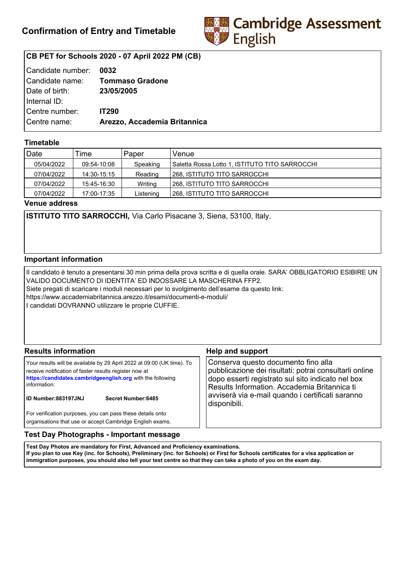

# **CB PET for Schools 2020 - 07 April 2022 PM (CB)**

| Candidate number: | 0032                            |
|-------------------|---------------------------------|
|                   | Candidate name: Tommaso Gradone |
| Date of birth:    | 23/05/2005                      |
| Internal ID:      |                                 |
| Centre number:    | <b>IT290</b>                    |
| Centre name:      | Arezzo, Accademia Britannica    |
|                   |                                 |

## **Timetable**

| Date       | Time        | Paper     | Venue                                          |
|------------|-------------|-----------|------------------------------------------------|
| 05/04/2022 | 09:54-10:08 | Speaking  | Saletta Rossa Lotto 1, ISTITUTO TITO SARROCCHI |
| 07/04/2022 | 14:30-15:15 | Reading   | l 268. ISTITUTO TITO SARROCCHI                 |
| 07/04/2022 | 15:45-16:30 | Writing   | I 268. ISTITUTO TITO SARROCCHI                 |
| 07/04/2022 | 17:00-17:35 | Listening | 268. ISTITUTO TITO SARROCCHI                   |

**Venue address**

**ISTITUTO TITO SARROCCHI,** Via Carlo Pisacane 3, Siena, 53100, Italy.

### **Important information**

Il candidato è tenuto a presentarsi 30 min prima della prova scritta e di quella orale. SARA' OBBLIGATORIO ESIBIRE UN VALIDO DOCUMENTO DI IDENTITA' ED INDOSSARE LA MASCHERINA FFP2. Siete pregati di scaricare i moduli necessari per lo svolgimento dell'esame da questo link: https://www.accademiabritannica.arezzo.it/esami/documenti-e-moduli/ I candidati DOVRANNO utilizzare le proprie CUFFIE.

| <b>Results information</b>                                                                                                                                                                                                                                   | <b>Help and support</b>                                                                                                                                                                                                                                                |  |
|--------------------------------------------------------------------------------------------------------------------------------------------------------------------------------------------------------------------------------------------------------------|------------------------------------------------------------------------------------------------------------------------------------------------------------------------------------------------------------------------------------------------------------------------|--|
| Your results will be available by 29 April 2022 at 09:00 (UK time). To<br>receive notification of faster results register now at<br>https://candidates.cambridgeenglish.org with the following<br>information:<br>ID Number:883197JNJ<br>Secret Number: 6485 | Conserva questo documento fino alla<br>pubblicazione dei risultati: potrai consultarli online<br>dopo esserti registrato sul sito indicato nel box<br>Results Information. Accademia Britannica ti<br>avviserà via e-mail quando i certificati saranno<br>disponibili. |  |
| For verification purposes, you can pass these details onto<br>organisations that use or accept Cambridge English exams.                                                                                                                                      |                                                                                                                                                                                                                                                                        |  |

## **Test Day Photographs - Important message**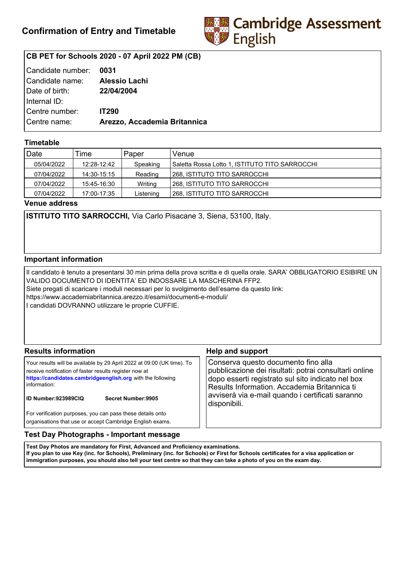

# **CB PET for Schools 2020 - 07 April 2022 PM (CB)**

| Candidate number: | 0031                         |
|-------------------|------------------------------|
| Candidate name:   | <b>Alessio Lachi</b>         |
| Date of birth:    | 22/04/2004                   |
| Internal ID:      |                              |
| Centre number:    | <b>IT290</b>                 |
| Centre name:      | Arezzo, Accademia Britannica |
|                   |                              |

## **Timetable**

| Date       | Time        | Paper     | Venue                                          |
|------------|-------------|-----------|------------------------------------------------|
| 05/04/2022 | 12:28-12:42 | Speaking  | Saletta Rossa Lotto 1, ISTITUTO TITO SARROCCHI |
| 07/04/2022 | 14:30-15:15 | Reading   | l 268. ISTITUTO TITO SARROCCHI                 |
| 07/04/2022 | 15:45-16:30 | Writing   | I 268. ISTITUTO TITO SARROCCHI                 |
| 07/04/2022 | 17:00-17:35 | Listening | 268. ISTITUTO TITO SARROCCHI                   |

**Venue address**

**ISTITUTO TITO SARROCCHI,** Via Carlo Pisacane 3, Siena, 53100, Italy.

### **Important information**

Il candidato è tenuto a presentarsi 30 min prima della prova scritta e di quella orale. SARA' OBBLIGATORIO ESIBIRE UN VALIDO DOCUMENTO DI IDENTITA' ED INDOSSARE LA MASCHERINA FFP2. Siete pregati di scaricare i moduli necessari per lo svolgimento dell'esame da questo link: https://www.accademiabritannica.arezzo.it/esami/documenti-e-moduli/ I candidati DOVRANNO utilizzare le proprie CUFFIE.

| <b>Results information</b>                                                                                                                                                                                                                                          | <b>Help and support</b>                                                                                                                                                                                                                                                |  |
|---------------------------------------------------------------------------------------------------------------------------------------------------------------------------------------------------------------------------------------------------------------------|------------------------------------------------------------------------------------------------------------------------------------------------------------------------------------------------------------------------------------------------------------------------|--|
| Your results will be available by 29 April 2022 at 09:00 (UK time). To<br>receive notification of faster results register now at<br>https://candidates.cambridgeenglish.org with the following<br>information:<br><b>ID Number:923989CIQ</b><br>Secret Number: 9905 | Conserva questo documento fino alla<br>pubblicazione dei risultati: potrai consultarli online<br>dopo esserti registrato sul sito indicato nel box<br>Results Information. Accademia Britannica ti<br>avviserà via e-mail quando i certificati saranno<br>disponibili. |  |
| For verification purposes, you can pass these details onto<br>organisations that use or accept Cambridge English exams.                                                                                                                                             |                                                                                                                                                                                                                                                                        |  |

### **Test Day Photographs - Important message**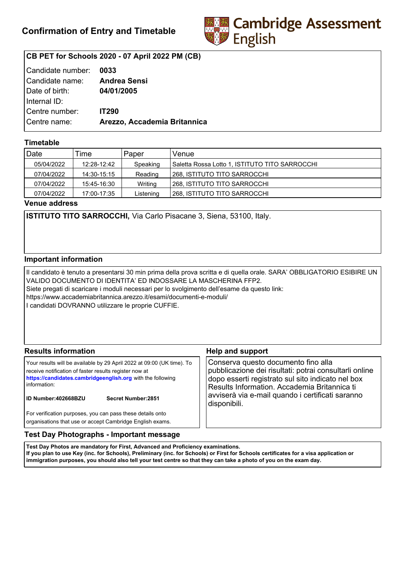

# **CB PET for Schools 2020 - 07 April 2022 PM (CB)**

| Candidate number: 0033 |                              |
|------------------------|------------------------------|
| Candidate name:        | Andrea Sensi                 |
| Date of birth:         | 04/01/2005                   |
| Internal ID:           |                              |
| Centre number:         | <b>IT290</b>                 |
| Centre name:           | Arezzo, Accademia Britannica |
|                        |                              |

## **Timetable**

| Date       | Time        | Paper     | Venue                                          |
|------------|-------------|-----------|------------------------------------------------|
| 05/04/2022 | 12:28-12:42 | Speaking  | Saletta Rossa Lotto 1, ISTITUTO TITO SARROCCHI |
| 07/04/2022 | 14:30-15:15 | Reading   | l 268. ISTITUTO TITO SARROCCHI                 |
| 07/04/2022 | 15:45-16:30 | Writing   | I 268. ISTITUTO TITO SARROCCHI                 |
| 07/04/2022 | 17:00-17:35 | Listening | 268. ISTITUTO TITO SARROCCHI                   |

**Venue address**

**ISTITUTO TITO SARROCCHI,** Via Carlo Pisacane 3, Siena, 53100, Italy.

### **Important information**

Il candidato è tenuto a presentarsi 30 min prima della prova scritta e di quella orale. SARA' OBBLIGATORIO ESIBIRE UN VALIDO DOCUMENTO DI IDENTITA' ED INDOSSARE LA MASCHERINA FFP2. Siete pregati di scaricare i moduli necessari per lo svolgimento dell'esame da questo link: https://www.accademiabritannica.arezzo.it/esami/documenti-e-moduli/ I candidati DOVRANNO utilizzare le proprie CUFFIE.

| <b>Results information</b>                                                                                                                                                                                                                                          | <b>Help and support</b>                                                                                                                                                                                                                                                |  |
|---------------------------------------------------------------------------------------------------------------------------------------------------------------------------------------------------------------------------------------------------------------------|------------------------------------------------------------------------------------------------------------------------------------------------------------------------------------------------------------------------------------------------------------------------|--|
| Your results will be available by 29 April 2022 at 09:00 (UK time). To<br>receive notification of faster results register now at<br>https://candidates.cambridgeenglish.org with the following<br>information:<br><b>ID Number:402668BZU</b><br>Secret Number: 2851 | Conserva questo documento fino alla<br>pubblicazione dei risultati: potrai consultarli online<br>dopo esserti registrato sul sito indicato nel box<br>Results Information. Accademia Britannica ti<br>avviserà via e-mail quando i certificati saranno<br>disponibili. |  |
| For verification purposes, you can pass these details onto<br>organisations that use or accept Cambridge English exams.                                                                                                                                             |                                                                                                                                                                                                                                                                        |  |

## **Test Day Photographs - Important message**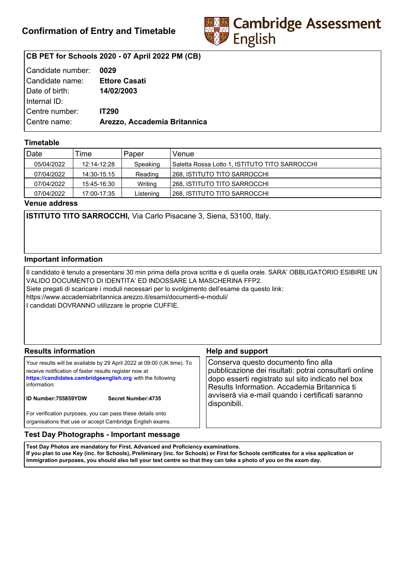

# **CB PET for Schools 2020 - 07 April 2022 PM (CB)**

| Candidate number: | 0029                         |
|-------------------|------------------------------|
| Candidate name:   | <b>Ettore Casati</b>         |
| Date of birth:    | 14/02/2003                   |
| Internal ID:      |                              |
| Centre number:    | <b>IT290</b>                 |
| Centre name:      | Arezzo, Accademia Britannica |
|                   |                              |

## **Timetable**

| Date       | Time        | Paper     | Venue                                          |
|------------|-------------|-----------|------------------------------------------------|
| 05/04/2022 | 12:14-12:28 | Speaking  | Saletta Rossa Lotto 1, ISTITUTO TITO SARROCCHI |
| 07/04/2022 | 14:30-15:15 | Reading   | l 268. ISTITUTO TITO SARROCCHI                 |
| 07/04/2022 | 15:45-16:30 | Writing   | I 268. ISTITUTO TITO SARROCCHI                 |
| 07/04/2022 | 17:00-17:35 | Listening | 268. ISTITUTO TITO SARROCCHI                   |

**Venue address**

**ISTITUTO TITO SARROCCHI,** Via Carlo Pisacane 3, Siena, 53100, Italy.

### **Important information**

Il candidato è tenuto a presentarsi 30 min prima della prova scritta e di quella orale. SARA' OBBLIGATORIO ESIBIRE UN VALIDO DOCUMENTO DI IDENTITA' ED INDOSSARE LA MASCHERINA FFP2. Siete pregati di scaricare i moduli necessari per lo svolgimento dell'esame da questo link: https://www.accademiabritannica.arezzo.it/esami/documenti-e-moduli/ I candidati DOVRANNO utilizzare le proprie CUFFIE.

| <b>Results information</b>                                                                                                                                                                                                                                          | <b>Help and support</b>                                                                                                                                                                                                                                                |  |
|---------------------------------------------------------------------------------------------------------------------------------------------------------------------------------------------------------------------------------------------------------------------|------------------------------------------------------------------------------------------------------------------------------------------------------------------------------------------------------------------------------------------------------------------------|--|
| Your results will be available by 29 April 2022 at 09:00 (UK time). To<br>receive notification of faster results register now at<br>https://candidates.cambridgeenglish.org with the following<br>information:<br><b>ID Number:755859YDW</b><br>Secret Number: 4735 | Conserva questo documento fino alla<br>pubblicazione dei risultati: potrai consultarli online<br>dopo esserti registrato sul sito indicato nel box<br>Results Information. Accademia Britannica ti<br>avviserà via e-mail quando i certificati saranno<br>disponibili. |  |
| For verification purposes, you can pass these details onto<br>organisations that use or accept Cambridge English exams.                                                                                                                                             |                                                                                                                                                                                                                                                                        |  |

### **Test Day Photographs - Important message**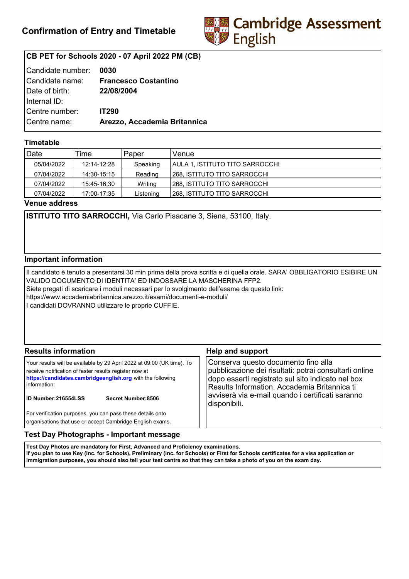

# **CB PET for Schools 2020 - 07 April 2022 PM (CB)**

| Candidate number: | 0030                         |
|-------------------|------------------------------|
| Candidate name:   | <b>Francesco Costantino</b>  |
| Date of birth:    | 22/08/2004                   |
| Internal ID:      |                              |
| Centre number:    | <b>IT290</b>                 |
| Centre name:      | Arezzo, Accademia Britannica |
|                   |                              |

## **Timetable**

| Date       | Time        | Paper     | Venue                           |
|------------|-------------|-----------|---------------------------------|
| 05/04/2022 | 12:14-12:28 | Speaking  | AULA 1. ISTITUTO TITO SARROCCHI |
| 07/04/2022 | 14:30-15:15 | Reading   | 268, ISTITUTO TITO SARROCCHI    |
| 07/04/2022 | 15:45-16:30 | Writing   | 1268, ISTITUTO TITO SARROCCHI   |
| 07/04/2022 | 17:00-17:35 | Listening | 268. ISTITUTO TITO SARROCCHI    |

**Venue address**

**ISTITUTO TITO SARROCCHI,** Via Carlo Pisacane 3, Siena, 53100, Italy.

### **Important information**

Il candidato è tenuto a presentarsi 30 min prima della prova scritta e di quella orale. SARA' OBBLIGATORIO ESIBIRE UN VALIDO DOCUMENTO DI IDENTITA' ED INDOSSARE LA MASCHERINA FFP2. Siete pregati di scaricare i moduli necessari per lo svolgimento dell'esame da questo link: https://www.accademiabritannica.arezzo.it/esami/documenti-e-moduli/ I candidati DOVRANNO utilizzare le proprie CUFFIE.

| <b>Results information</b>                                                                                                                                                                                                                                          | <b>Help and support</b>                                                                                                                                                                                                                                                |  |
|---------------------------------------------------------------------------------------------------------------------------------------------------------------------------------------------------------------------------------------------------------------------|------------------------------------------------------------------------------------------------------------------------------------------------------------------------------------------------------------------------------------------------------------------------|--|
| Your results will be available by 29 April 2022 at 09:00 (UK time). To<br>receive notification of faster results register now at<br>https://candidates.cambridgeenglish.org with the following<br>information:<br><b>ID Number:216554LSS</b><br>Secret Number: 8506 | Conserva questo documento fino alla<br>pubblicazione dei risultati: potrai consultarli online<br>dopo esserti registrato sul sito indicato nel box<br>Results Information. Accademia Britannica ti<br>avviserà via e-mail quando i certificati saranno<br>disponibili. |  |
| For verification purposes, you can pass these details onto<br>organisations that use or accept Cambridge English exams.                                                                                                                                             |                                                                                                                                                                                                                                                                        |  |

### **Test Day Photographs - Important message**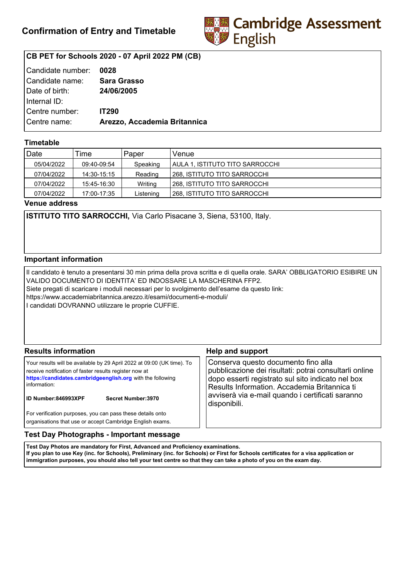

# **CB PET for Schools 2020 - 07 April 2022 PM (CB)**

| Candidate number: | 0028                         |
|-------------------|------------------------------|
| Candidate name:   | <b>Sara Grasso</b>           |
| Date of birth:    | 24/06/2005                   |
| Internal ID:      |                              |
| Centre number:    | <b>IT290</b>                 |
| Centre name:      | Arezzo, Accademia Britannica |
|                   |                              |

## **Timetable**

| Date       | Time        | Paper     | Venue                               |
|------------|-------------|-----------|-------------------------------------|
| 05/04/2022 | 09:40-09:54 | Speaking  | AULA 1. ISTITUTO TITO SARROCCHI     |
| 07/04/2022 | 14:30-15:15 | Reading   | <b>268, ISTITUTO TITO SARROCCHI</b> |
| 07/04/2022 | 15:45-16:30 | Writing   | 268, ISTITUTO TITO SARROCCHI        |
| 07/04/2022 | 17:00-17:35 | Listening | 268, ISTITUTO TITO SARROCCHI        |

**Venue address**

**ISTITUTO TITO SARROCCHI,** Via Carlo Pisacane 3, Siena, 53100, Italy.

### **Important information**

Il candidato è tenuto a presentarsi 30 min prima della prova scritta e di quella orale. SARA' OBBLIGATORIO ESIBIRE UN VALIDO DOCUMENTO DI IDENTITA' ED INDOSSARE LA MASCHERINA FFP2. Siete pregati di scaricare i moduli necessari per lo svolgimento dell'esame da questo link: https://www.accademiabritannica.arezzo.it/esami/documenti-e-moduli/ I candidati DOVRANNO utilizzare le proprie CUFFIE.

| <b>Results information</b>                                                                                                                                                                                                                                          | <b>Help and support</b>                                                                                                                                                                                                                                                |  |
|---------------------------------------------------------------------------------------------------------------------------------------------------------------------------------------------------------------------------------------------------------------------|------------------------------------------------------------------------------------------------------------------------------------------------------------------------------------------------------------------------------------------------------------------------|--|
| Your results will be available by 29 April 2022 at 09:00 (UK time). To<br>receive notification of faster results register now at<br>https://candidates.cambridgeenglish.org with the following<br>information:<br><b>ID Number:846993XPF</b><br>Secret Number: 3970 | Conserva questo documento fino alla<br>pubblicazione dei risultati: potrai consultarli online<br>dopo esserti registrato sul sito indicato nel box<br>Results Information. Accademia Britannica ti<br>avviserà via e-mail quando i certificati saranno<br>disponibili. |  |
| For verification purposes, you can pass these details onto<br>organisations that use or accept Cambridge English exams.                                                                                                                                             |                                                                                                                                                                                                                                                                        |  |

### **Test Day Photographs - Important message**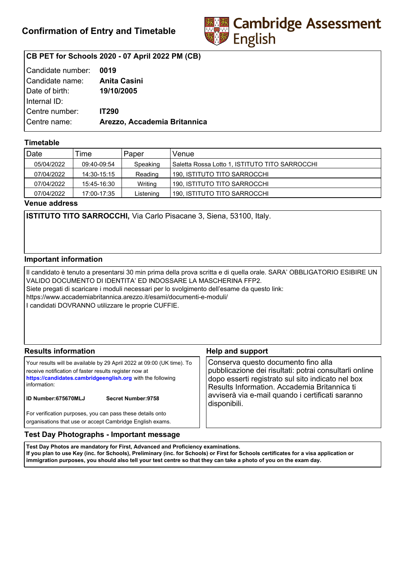

# **CB PET for Schools 2020 - 07 April 2022 PM (CB)**

| Candidate number: | 0019                         |
|-------------------|------------------------------|
| Candidate name:   | <b>Anita Casini</b>          |
| Date of birth:    | 19/10/2005                   |
| Internal ID:      |                              |
| Centre number:    | <b>IT290</b>                 |
| Centre name:      | Arezzo, Accademia Britannica |
|                   |                              |

## **Timetable**

| Date       | Time        | Paper     | Venue                                          |
|------------|-------------|-----------|------------------------------------------------|
| 05/04/2022 | 09:40-09:54 | Speaking  | Saletta Rossa Lotto 1, ISTITUTO TITO SARROCCHI |
| 07/04/2022 | 14:30-15:15 | Reading   | 190. ISTITUTO TITO SARROCCHI                   |
| 07/04/2022 | 15:45-16:30 | Writing   | 190. ISTITUTO TITO SARROCCHI                   |
| 07/04/2022 | 17:00-17:35 | Listening | 190, ISTITUTO TITO SARROCCHI                   |

**Venue address**

**ISTITUTO TITO SARROCCHI,** Via Carlo Pisacane 3, Siena, 53100, Italy.

### **Important information**

Il candidato è tenuto a presentarsi 30 min prima della prova scritta e di quella orale. SARA' OBBLIGATORIO ESIBIRE UN VALIDO DOCUMENTO DI IDENTITA' ED INDOSSARE LA MASCHERINA FFP2. Siete pregati di scaricare i moduli necessari per lo svolgimento dell'esame da questo link: https://www.accademiabritannica.arezzo.it/esami/documenti-e-moduli/ I candidati DOVRANNO utilizzare le proprie CUFFIE.

| <b>Results information</b>                                                                                                                                                                                                                                   | <b>Help and support</b>                                                                                                                                                                                                                                                |  |
|--------------------------------------------------------------------------------------------------------------------------------------------------------------------------------------------------------------------------------------------------------------|------------------------------------------------------------------------------------------------------------------------------------------------------------------------------------------------------------------------------------------------------------------------|--|
| Your results will be available by 29 April 2022 at 09:00 (UK time). To<br>receive notification of faster results register now at<br>https://candidates.cambridgeenglish.org with the following<br>information:<br>ID Number:675670MLJ<br>Secret Number: 9758 | Conserva questo documento fino alla<br>pubblicazione dei risultati: potrai consultarli online<br>dopo esserti registrato sul sito indicato nel box<br>Results Information. Accademia Britannica ti<br>avviserà via e-mail quando i certificati saranno<br>disponibili. |  |
| For verification purposes, you can pass these details onto<br>organisations that use or accept Cambridge English exams.                                                                                                                                      |                                                                                                                                                                                                                                                                        |  |

### **Test Day Photographs - Important message**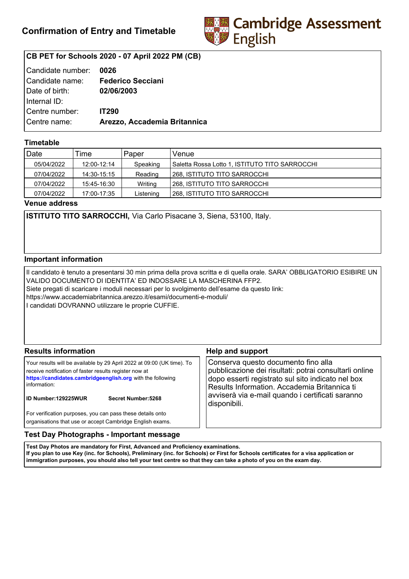

# **CB PET for Schools 2020 - 07 April 2022 PM (CB)**

| Candidate number: | 0026                         |
|-------------------|------------------------------|
| Candidate name:   | <b>Federico Secciani</b>     |
| Date of birth:    | 02/06/2003                   |
| Internal ID:      |                              |
| Centre number:    | <b>IT290</b>                 |
| Centre name:      | Arezzo, Accademia Britannica |
|                   |                              |

## **Timetable**

| Date       | Time        | Paper     | Venue                                          |
|------------|-------------|-----------|------------------------------------------------|
| 05/04/2022 | 12:00-12:14 | Speaking  | Saletta Rossa Lotto 1, ISTITUTO TITO SARROCCHI |
| 07/04/2022 | 14:30-15:15 | Reading   | 268, ISTITUTO TITO SARROCCHI                   |
| 07/04/2022 | 15:45-16:30 | Writing   | 1268. ISTITUTO TITO SARROCCHI                  |
| 07/04/2022 | 17:00-17:35 | Listening | l 268. ISTITUTO TITO SARROCCHI                 |

**Venue address**

**ISTITUTO TITO SARROCCHI,** Via Carlo Pisacane 3, Siena, 53100, Italy.

### **Important information**

Il candidato è tenuto a presentarsi 30 min prima della prova scritta e di quella orale. SARA' OBBLIGATORIO ESIBIRE UN VALIDO DOCUMENTO DI IDENTITA' ED INDOSSARE LA MASCHERINA FFP2. Siete pregati di scaricare i moduli necessari per lo svolgimento dell'esame da questo link: https://www.accademiabritannica.arezzo.it/esami/documenti-e-moduli/ I candidati DOVRANNO utilizzare le proprie CUFFIE.

| <b>Results information</b>                                                                                                                                                                                                                                          | <b>Help and support</b>                                                                                                                                                                                                                                                |  |
|---------------------------------------------------------------------------------------------------------------------------------------------------------------------------------------------------------------------------------------------------------------------|------------------------------------------------------------------------------------------------------------------------------------------------------------------------------------------------------------------------------------------------------------------------|--|
| Your results will be available by 29 April 2022 at 09:00 (UK time). To<br>receive notification of faster results register now at<br>https://candidates.cambridgeenglish.org with the following<br>information:<br><b>ID Number:129225WUR</b><br>Secret Number: 5268 | Conserva questo documento fino alla<br>pubblicazione dei risultati: potrai consultarli online<br>dopo esserti registrato sul sito indicato nel box<br>Results Information. Accademia Britannica ti<br>avviserà via e-mail quando i certificati saranno<br>disponibili. |  |
| For verification purposes, you can pass these details onto<br>organisations that use or accept Cambridge English exams.                                                                                                                                             |                                                                                                                                                                                                                                                                        |  |

### **Test Day Photographs - Important message**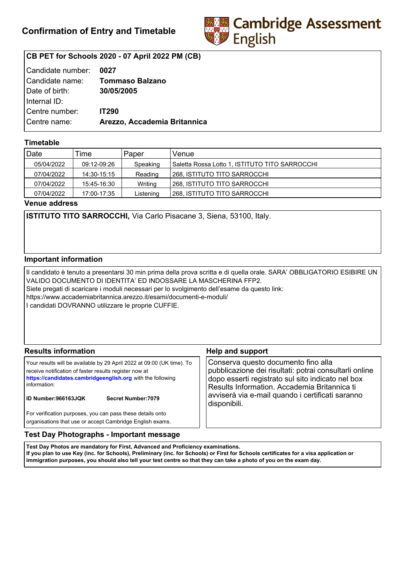

# **CB PET for Schools 2020 - 07 April 2022 PM (CB)**

| l Candidate number: | 0027                         |
|---------------------|------------------------------|
| Candidate name:     | <b>Tommaso Balzano</b>       |
| Date of birth:      | 30/05/2005                   |
| Internal ID:        |                              |
| Centre number:      | <b>IT290</b>                 |
| Centre name:        | Arezzo, Accademia Britannica |
|                     |                              |

## **Timetable**

| Date       | Time        | Paper     | Venue                                          |
|------------|-------------|-----------|------------------------------------------------|
| 05/04/2022 | 09:12-09:26 | Speaking  | Saletta Rossa Lotto 1, ISTITUTO TITO SARROCCHI |
| 07/04/2022 | 14:30-15:15 | Reading   | 268, ISTITUTO TITO SARROCCHI                   |
| 07/04/2022 | 15:45-16:30 | Writing   | I 268. ISTITUTO TITO SARROCCHI                 |
| 07/04/2022 | 17:00-17:35 | Listening | l 268. ISTITUTO TITO SARROCCHI                 |

**Venue address**

**ISTITUTO TITO SARROCCHI,** Via Carlo Pisacane 3, Siena, 53100, Italy.

### **Important information**

Il candidato è tenuto a presentarsi 30 min prima della prova scritta e di quella orale. SARA' OBBLIGATORIO ESIBIRE UN VALIDO DOCUMENTO DI IDENTITA' ED INDOSSARE LA MASCHERINA FFP2. Siete pregati di scaricare i moduli necessari per lo svolgimento dell'esame da questo link: https://www.accademiabritannica.arezzo.it/esami/documenti-e-moduli/ I candidati DOVRANNO utilizzare le proprie CUFFIE.

| <b>Results information</b>                                                                                                                                                                                                                                          | <b>Help and support</b>                                                                                                                                                                                                                                                |  |
|---------------------------------------------------------------------------------------------------------------------------------------------------------------------------------------------------------------------------------------------------------------------|------------------------------------------------------------------------------------------------------------------------------------------------------------------------------------------------------------------------------------------------------------------------|--|
| Your results will be available by 29 April 2022 at 09:00 (UK time). To<br>receive notification of faster results register now at<br>https://candidates.cambridgeenglish.org with the following<br>information:<br><b>ID Number:966163JQK</b><br>Secret Number: 7079 | Conserva questo documento fino alla<br>pubblicazione dei risultati: potrai consultarli online<br>dopo esserti registrato sul sito indicato nel box<br>Results Information. Accademia Britannica ti<br>avviserà via e-mail quando i certificati saranno<br>disponibili. |  |
| For verification purposes, you can pass these details onto<br>organisations that use or accept Cambridge English exams.                                                                                                                                             |                                                                                                                                                                                                                                                                        |  |

### **Test Day Photographs - Important message**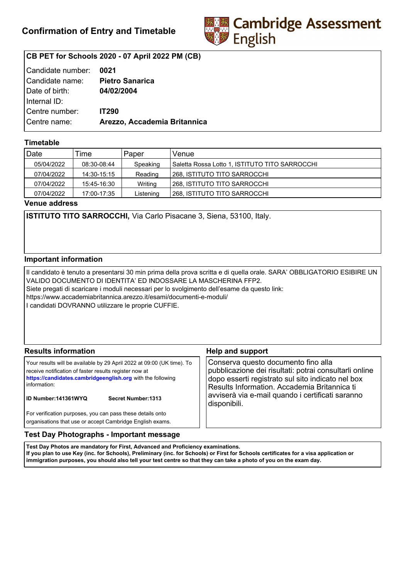

# **CB PET for Schools 2020 - 07 April 2022 PM (CB)**

| Candidate number: | 0021                         |
|-------------------|------------------------------|
| l Candidate name: | <b>Pietro Sanarica</b>       |
| Date of birth:    | 04/02/2004                   |
| Internal ID:      |                              |
| Centre number:    | <b>IT290</b>                 |
| Centre name:      | Arezzo, Accademia Britannica |
|                   |                              |

## **Timetable**

| Date       | Time        | Paper     | Venue                                          |
|------------|-------------|-----------|------------------------------------------------|
| 05/04/2022 | 08:30-08:44 | Speaking  | Saletta Rossa Lotto 1, ISTITUTO TITO SARROCCHI |
| 07/04/2022 | 14:30-15:15 | Reading   | l 268. ISTITUTO TITO SARROCCHI                 |
| 07/04/2022 | 15:45-16:30 | Writing   | I 268. ISTITUTO TITO SARROCCHI                 |
| 07/04/2022 | 17:00-17:35 | Listening | 268. ISTITUTO TITO SARROCCHI                   |

**Venue address**

**ISTITUTO TITO SARROCCHI,** Via Carlo Pisacane 3, Siena, 53100, Italy.

### **Important information**

Il candidato è tenuto a presentarsi 30 min prima della prova scritta e di quella orale. SARA' OBBLIGATORIO ESIBIRE UN VALIDO DOCUMENTO DI IDENTITA' ED INDOSSARE LA MASCHERINA FFP2. Siete pregati di scaricare i moduli necessari per lo svolgimento dell'esame da questo link: https://www.accademiabritannica.arezzo.it/esami/documenti-e-moduli/ I candidati DOVRANNO utilizzare le proprie CUFFIE.

| <b>Results information</b>                                                                                                                                                                                                                                          | <b>Help and support</b>                                                                                                                                                                                                                                                |  |
|---------------------------------------------------------------------------------------------------------------------------------------------------------------------------------------------------------------------------------------------------------------------|------------------------------------------------------------------------------------------------------------------------------------------------------------------------------------------------------------------------------------------------------------------------|--|
| Your results will be available by 29 April 2022 at 09:00 (UK time). To<br>receive notification of faster results register now at<br>https://candidates.cambridgeenglish.org with the following<br>information:<br><b>ID Number:141361WYQ</b><br>Secret Number: 1313 | Conserva questo documento fino alla<br>pubblicazione dei risultati: potrai consultarli online<br>dopo esserti registrato sul sito indicato nel box<br>Results Information. Accademia Britannica ti<br>avviserà via e-mail quando i certificati saranno<br>disponibili. |  |
| For verification purposes, you can pass these details onto<br>organisations that use or accept Cambridge English exams.                                                                                                                                             |                                                                                                                                                                                                                                                                        |  |

## **Test Day Photographs - Important message**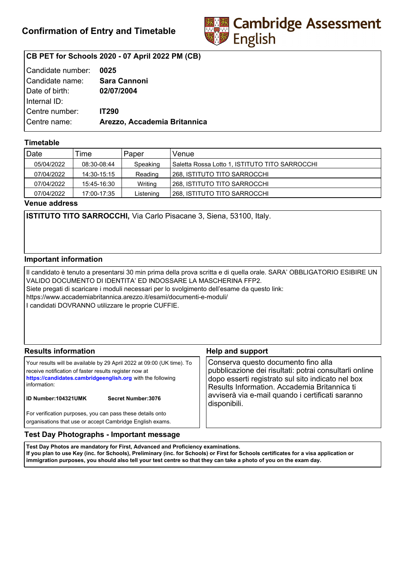

# **CB PET for Schools 2020 - 07 April 2022 PM (CB)**

| Candidate number:   | 0025                         |
|---------------------|------------------------------|
| l Candidate name: l | <b>Sara Cannoni</b>          |
| Date of birth:      | 02/07/2004                   |
| Internal ID:        |                              |
| Centre number:      | <b>IT290</b>                 |
| Centre name:        | Arezzo, Accademia Britannica |
|                     |                              |

## **Timetable**

| Date       | Time        | Paper     | Venue                                          |
|------------|-------------|-----------|------------------------------------------------|
| 05/04/2022 | 08:30-08:44 | Speaking  | Saletta Rossa Lotto 1, ISTITUTO TITO SARROCCHI |
| 07/04/2022 | 14:30-15:15 | Reading   | 268, ISTITUTO TITO SARROCCHI                   |
| 07/04/2022 | 15:45-16:30 | Writing   | 1268. ISTITUTO TITO SARROCCHI                  |
| 07/04/2022 | 17:00-17:35 | Listening | l 268. ISTITUTO TITO SARROCCHI                 |

**Venue address**

**ISTITUTO TITO SARROCCHI,** Via Carlo Pisacane 3, Siena, 53100, Italy.

### **Important information**

Il candidato è tenuto a presentarsi 30 min prima della prova scritta e di quella orale. SARA' OBBLIGATORIO ESIBIRE UN VALIDO DOCUMENTO DI IDENTITA' ED INDOSSARE LA MASCHERINA FFP2. Siete pregati di scaricare i moduli necessari per lo svolgimento dell'esame da questo link: https://www.accademiabritannica.arezzo.it/esami/documenti-e-moduli/ I candidati DOVRANNO utilizzare le proprie CUFFIE.

| <b>Results information</b>                                                                                                                                                                                                                                          | <b>Help and support</b>                                                                                                                                                                                                                                                |  |
|---------------------------------------------------------------------------------------------------------------------------------------------------------------------------------------------------------------------------------------------------------------------|------------------------------------------------------------------------------------------------------------------------------------------------------------------------------------------------------------------------------------------------------------------------|--|
| Your results will be available by 29 April 2022 at 09:00 (UK time). To<br>receive notification of faster results register now at<br>https://candidates.cambridgeenglish.org with the following<br>information:<br><b>ID Number:104321UMK</b><br>Secret Number: 3076 | Conserva questo documento fino alla<br>pubblicazione dei risultati: potrai consultarli online<br>dopo esserti registrato sul sito indicato nel box<br>Results Information. Accademia Britannica ti<br>avviserà via e-mail quando i certificati saranno<br>disponibili. |  |
| For verification purposes, you can pass these details onto<br>organisations that use or accept Cambridge English exams.                                                                                                                                             |                                                                                                                                                                                                                                                                        |  |

### **Test Day Photographs - Important message**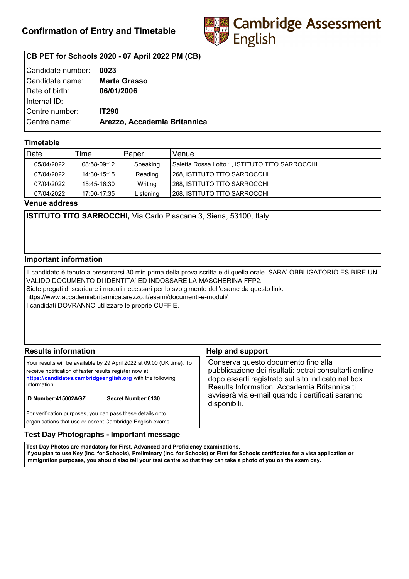

# **CB PET for Schools 2020 - 07 April 2022 PM (CB)**

| Candidate number:   | 0023                         |
|---------------------|------------------------------|
| l Candidate name: l | <b>Marta Grasso</b>          |
| Date of birth:      | 06/01/2006                   |
| Internal ID:        |                              |
| Centre number:      | <b>IT290</b>                 |
| Centre name:        | Arezzo, Accademia Britannica |
|                     |                              |

## **Timetable**

| Date       | Time        | Paper     | Venue                                          |
|------------|-------------|-----------|------------------------------------------------|
| 05/04/2022 | 08:58-09:12 | Speaking  | Saletta Rossa Lotto 1, ISTITUTO TITO SARROCCHI |
| 07/04/2022 | 14:30-15:15 | Reading   | l 268. ISTITUTO TITO SARROCCHI                 |
| 07/04/2022 | 15:45-16:30 | Writing   | 268. ISTITUTO TITO SARROCCHI                   |
| 07/04/2022 | 17:00-17:35 | Listening | 268, ISTITUTO TITO SARROCCHI                   |

**Venue address**

**ISTITUTO TITO SARROCCHI,** Via Carlo Pisacane 3, Siena, 53100, Italy.

### **Important information**

Il candidato è tenuto a presentarsi 30 min prima della prova scritta e di quella orale. SARA' OBBLIGATORIO ESIBIRE UN VALIDO DOCUMENTO DI IDENTITA' ED INDOSSARE LA MASCHERINA FFP2. Siete pregati di scaricare i moduli necessari per lo svolgimento dell'esame da questo link: https://www.accademiabritannica.arezzo.it/esami/documenti-e-moduli/ I candidati DOVRANNO utilizzare le proprie CUFFIE.

| <b>Results information</b>                                                                                                                                                                                                                                          | <b>Help and support</b>                                                                                                                                                                                                                                                |  |
|---------------------------------------------------------------------------------------------------------------------------------------------------------------------------------------------------------------------------------------------------------------------|------------------------------------------------------------------------------------------------------------------------------------------------------------------------------------------------------------------------------------------------------------------------|--|
| Your results will be available by 29 April 2022 at 09:00 (UK time). To<br>receive notification of faster results register now at<br>https://candidates.cambridgeenglish.org with the following<br>information:<br><b>ID Number:415002AGZ</b><br>Secret Number: 6130 | Conserva questo documento fino alla<br>pubblicazione dei risultati: potrai consultarli online<br>dopo esserti registrato sul sito indicato nel box<br>Results Information. Accademia Britannica ti<br>avviserà via e-mail quando i certificati saranno<br>disponibili. |  |
| For verification purposes, you can pass these details onto<br>organisations that use or accept Cambridge English exams.                                                                                                                                             |                                                                                                                                                                                                                                                                        |  |

### **Test Day Photographs - Important message**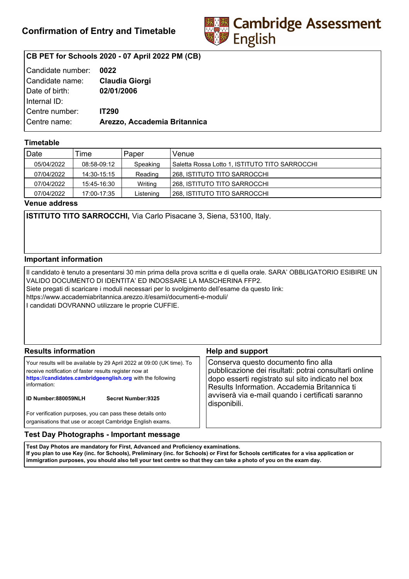

# **CB PET for Schools 2020 - 07 April 2022 PM (CB)**

| Candidate number: | 0022                         |
|-------------------|------------------------------|
| Candidate name:   | <b>Claudia Giorgi</b>        |
| Date of birth:    | 02/01/2006                   |
| Internal ID:      |                              |
| Centre number:    | <b>IT290</b>                 |
| Centre name:      | Arezzo, Accademia Britannica |
|                   |                              |

## **Timetable**

| Date       | Time        | Paper     | Venue                                          |
|------------|-------------|-----------|------------------------------------------------|
| 05/04/2022 | 08:58-09:12 | Speaking  | Saletta Rossa Lotto 1, ISTITUTO TITO SARROCCHI |
| 07/04/2022 | 14:30-15:15 | Reading   | l 268. ISTITUTO TITO SARROCCHI                 |
| 07/04/2022 | 15:45-16:30 | Writing   | 268. ISTITUTO TITO SARROCCHI                   |
| 07/04/2022 | 17:00-17:35 | Listening | 268, ISTITUTO TITO SARROCCHI                   |

**Venue address**

**ISTITUTO TITO SARROCCHI,** Via Carlo Pisacane 3, Siena, 53100, Italy.

### **Important information**

Il candidato è tenuto a presentarsi 30 min prima della prova scritta e di quella orale. SARA' OBBLIGATORIO ESIBIRE UN VALIDO DOCUMENTO DI IDENTITA' ED INDOSSARE LA MASCHERINA FFP2. Siete pregati di scaricare i moduli necessari per lo svolgimento dell'esame da questo link: https://www.accademiabritannica.arezzo.it/esami/documenti-e-moduli/ I candidati DOVRANNO utilizzare le proprie CUFFIE.

| <b>Results information</b>                                                                                                                                                                                                                                          | <b>Help and support</b>                                                                                                                                                                                                                                                |  |
|---------------------------------------------------------------------------------------------------------------------------------------------------------------------------------------------------------------------------------------------------------------------|------------------------------------------------------------------------------------------------------------------------------------------------------------------------------------------------------------------------------------------------------------------------|--|
| Your results will be available by 29 April 2022 at 09:00 (UK time). To<br>receive notification of faster results register now at<br>https://candidates.cambridgeenglish.org with the following<br>information:<br><b>ID Number:880059NLH</b><br>Secret Number: 9325 | Conserva questo documento fino alla<br>pubblicazione dei risultati: potrai consultarli online<br>dopo esserti registrato sul sito indicato nel box<br>Results Information. Accademia Britannica ti<br>avviserà via e-mail quando i certificati saranno<br>disponibili. |  |
| For verification purposes, you can pass these details onto<br>organisations that use or accept Cambridge English exams.                                                                                                                                             |                                                                                                                                                                                                                                                                        |  |

### **Test Day Photographs - Important message**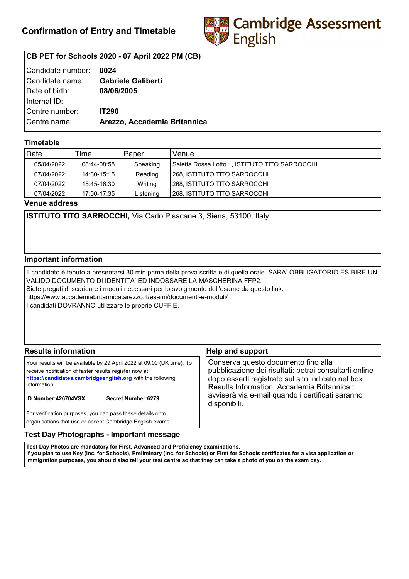

# **CB PET for Schools 2020 - 07 April 2022 PM (CB)**

| Candidate number: | 0024                         |
|-------------------|------------------------------|
| l Candidate name: | <b>Gabriele Galiberti</b>    |
| Date of birth:    | 08/06/2005                   |
| Internal ID:      |                              |
| Centre number:    | <b>IT290</b>                 |
| Centre name:      | Arezzo, Accademia Britannica |
|                   |                              |

## **Timetable**

| Date       | Time        | Paper     | Venue                                          |
|------------|-------------|-----------|------------------------------------------------|
| 05/04/2022 | 08:44-08:58 | Speaking  | Saletta Rossa Lotto 1, ISTITUTO TITO SARROCCHI |
| 07/04/2022 | 14:30-15:15 | Reading   | 268, ISTITUTO TITO SARROCCHI                   |
| 07/04/2022 | 15:45-16:30 | Writing   | 1268. ISTITUTO TITO SARROCCHI                  |
| 07/04/2022 | 17:00-17:35 | Listening | l 268. ISTITUTO TITO SARROCCHI                 |

**Venue address**

**ISTITUTO TITO SARROCCHI,** Via Carlo Pisacane 3, Siena, 53100, Italy.

### **Important information**

Il candidato è tenuto a presentarsi 30 min prima della prova scritta e di quella orale. SARA' OBBLIGATORIO ESIBIRE UN VALIDO DOCUMENTO DI IDENTITA' ED INDOSSARE LA MASCHERINA FFP2. Siete pregati di scaricare i moduli necessari per lo svolgimento dell'esame da questo link: https://www.accademiabritannica.arezzo.it/esami/documenti-e-moduli/ I candidati DOVRANNO utilizzare le proprie CUFFIE.

| <b>Results information</b>                                                                                                                                                                                                                                          | <b>Help and support</b>                                                                                                                                                                                                                                                |  |
|---------------------------------------------------------------------------------------------------------------------------------------------------------------------------------------------------------------------------------------------------------------------|------------------------------------------------------------------------------------------------------------------------------------------------------------------------------------------------------------------------------------------------------------------------|--|
| Your results will be available by 29 April 2022 at 09:00 (UK time). To<br>receive notification of faster results register now at<br>https://candidates.cambridgeenglish.org with the following<br>information:<br><b>ID Number:426704VSX</b><br>Secret Number: 6279 | Conserva questo documento fino alla<br>pubblicazione dei risultati: potrai consultarli online<br>dopo esserti registrato sul sito indicato nel box<br>Results Information. Accademia Britannica ti<br>avviserà via e-mail quando i certificati saranno<br>disponibili. |  |
| For verification purposes, you can pass these details onto<br>organisations that use or accept Cambridge English exams.                                                                                                                                             |                                                                                                                                                                                                                                                                        |  |

### **Test Day Photographs - Important message**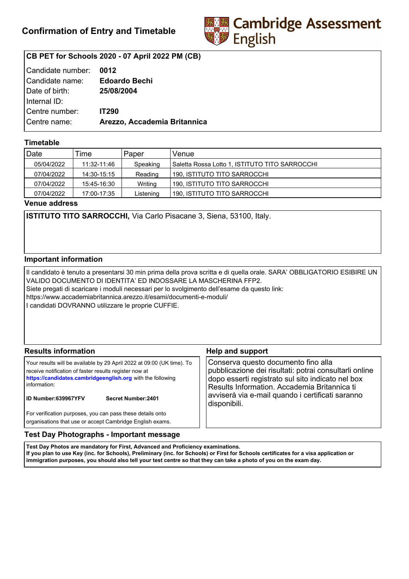

# **CB PET for Schools 2020 - 07 April 2022 PM (CB)**

| Candidate number: | 0012                         |
|-------------------|------------------------------|
| l Candidate name: | <b>Edoardo Bechi</b>         |
| Date of birth:    | 25/08/2004                   |
| Internal ID:      |                              |
| Centre number:    | <b>IT290</b>                 |
| Centre name:      | Arezzo, Accademia Britannica |
|                   |                              |

## **Timetable**

| Date       | Time        | Paper     | Venue                                          |
|------------|-------------|-----------|------------------------------------------------|
| 05/04/2022 | 11:32-11:46 | Speaking  | Saletta Rossa Lotto 1, ISTITUTO TITO SARROCCHI |
| 07/04/2022 | 14:30-15:15 | Reading   | 190, ISTITUTO TITO SARROCCHI                   |
| 07/04/2022 | 15:45-16:30 | Writing   | 190. ISTITUTO TITO SARROCCHI                   |
| 07/04/2022 | 17:00-17:35 | Listening | 190. ISTITUTO TITO SARROCCHI                   |

**Venue address**

**ISTITUTO TITO SARROCCHI,** Via Carlo Pisacane 3, Siena, 53100, Italy.

### **Important information**

Il candidato è tenuto a presentarsi 30 min prima della prova scritta e di quella orale. SARA' OBBLIGATORIO ESIBIRE UN VALIDO DOCUMENTO DI IDENTITA' ED INDOSSARE LA MASCHERINA FFP2. Siete pregati di scaricare i moduli necessari per lo svolgimento dell'esame da questo link: https://www.accademiabritannica.arezzo.it/esami/documenti-e-moduli/ I candidati DOVRANNO utilizzare le proprie CUFFIE.

| <b>Results information</b>                                                                                                                                                                                                                                          | <b>Help and support</b>                                                                                                                                                                                                                                                |  |
|---------------------------------------------------------------------------------------------------------------------------------------------------------------------------------------------------------------------------------------------------------------------|------------------------------------------------------------------------------------------------------------------------------------------------------------------------------------------------------------------------------------------------------------------------|--|
| Your results will be available by 29 April 2022 at 09:00 (UK time). To<br>receive notification of faster results register now at<br>https://candidates.cambridgeenglish.org with the following<br>information:<br><b>ID Number:639967YFV</b><br>Secret Number: 2401 | Conserva questo documento fino alla<br>pubblicazione dei risultati: potrai consultarli online<br>dopo esserti registrato sul sito indicato nel box<br>Results Information. Accademia Britannica ti<br>avviserà via e-mail quando i certificati saranno<br>disponibili. |  |
| For verification purposes, you can pass these details onto<br>organisations that use or accept Cambridge English exams.                                                                                                                                             |                                                                                                                                                                                                                                                                        |  |

## **Test Day Photographs - Important message**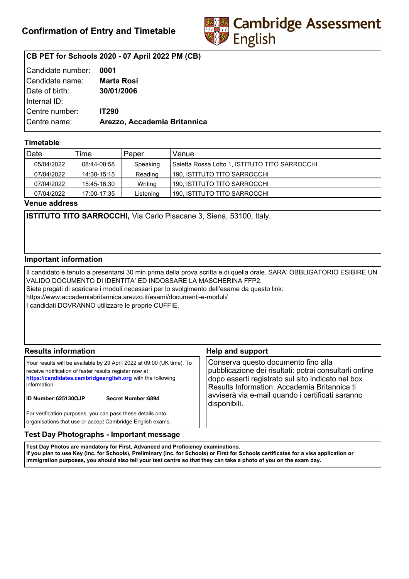

# **CB PET for Schools 2020 - 07 April 2022 PM (CB)**

| Candidate number: | 0001                         |
|-------------------|------------------------------|
| l Candidate name: | <b>Marta Rosi</b>            |
| Date of birth:    | 30/01/2006                   |
| Internal ID:      |                              |
| Centre number:    | <b>IT290</b>                 |
| Centre name:      | Arezzo, Accademia Britannica |
|                   |                              |

## **Timetable**

| Date       | Time        | Paper     | Venue                                           |
|------------|-------------|-----------|-------------------------------------------------|
| 05/04/2022 | 08:44-08:58 | Speaking  | Saletta Rossa Lotto 1, ISTITUTO TITO SARROCCHII |
| 07/04/2022 | 14:30-15:15 | Reading   | 190. ISTITUTO TITO SARROCCHI                    |
| 07/04/2022 | 15:45-16:30 | Writing   | 190. ISTITUTO TITO SARROCCHI                    |
| 07/04/2022 | 17:00-17:35 | Listening | 190, ISTITUTO TITO SARROCCHI                    |

**Venue address**

**ISTITUTO TITO SARROCCHI,** Via Carlo Pisacane 3, Siena, 53100, Italy.

### **Important information**

Il candidato è tenuto a presentarsi 30 min prima della prova scritta e di quella orale. SARA' OBBLIGATORIO ESIBIRE UN VALIDO DOCUMENTO DI IDENTITA' ED INDOSSARE LA MASCHERINA FFP2. Siete pregati di scaricare i moduli necessari per lo svolgimento dell'esame da questo link: https://www.accademiabritannica.arezzo.it/esami/documenti-e-moduli/ I candidati DOVRANNO utilizzare le proprie CUFFIE.

| <b>Results information</b>                                                                                                                                                                                                                                   | <b>Help and support</b>                                                                                                                                                                                                                                                |  |
|--------------------------------------------------------------------------------------------------------------------------------------------------------------------------------------------------------------------------------------------------------------|------------------------------------------------------------------------------------------------------------------------------------------------------------------------------------------------------------------------------------------------------------------------|--|
| Your results will be available by 29 April 2022 at 09:00 (UK time). To<br>receive notification of faster results register now at<br>https://candidates.cambridgeenglish.org with the following<br>information:<br>ID Number:625130OJP<br>Secret Number: 6894 | Conserva questo documento fino alla<br>pubblicazione dei risultati: potrai consultarli online<br>dopo esserti registrato sul sito indicato nel box<br>Results Information. Accademia Britannica ti<br>avviserà via e-mail quando i certificati saranno<br>disponibili. |  |
| For verification purposes, you can pass these details onto<br>organisations that use or accept Cambridge English exams.                                                                                                                                      |                                                                                                                                                                                                                                                                        |  |

### **Test Day Photographs - Important message**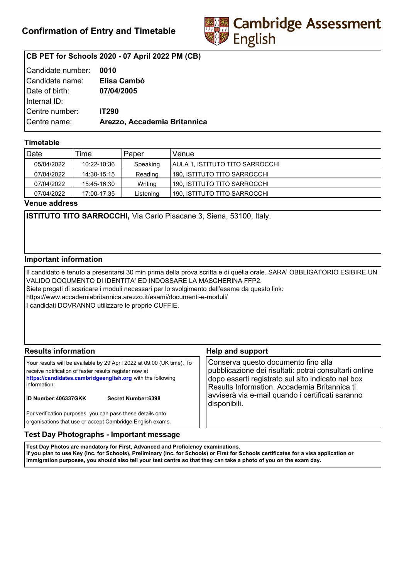

# **CB PET for Schools 2020 - 07 April 2022 PM (CB)**

| Candidate number: | 0010                         |
|-------------------|------------------------------|
| Candidate name:   | Elisa Cambò                  |
| Date of birth:    | 07/04/2005                   |
| Internal ID:      |                              |
| Centre number:    | <b>IT290</b>                 |
| Centre name:      | Arezzo, Accademia Britannica |
|                   |                              |

## **Timetable**

| Date       | Time        | Paper     | Venue                           |
|------------|-------------|-----------|---------------------------------|
| 05/04/2022 | 10:22-10:36 | Speaking  | AULA 1. ISTITUTO TITO SARROCCHI |
| 07/04/2022 | 14:30-15:15 | Reading   | 190, ISTITUTO TITO SARROCCHI    |
| 07/04/2022 | 15:45-16:30 | Writing   | 190, ISTITUTO TITO SARROCCHI    |
| 07/04/2022 | 17:00-17:35 | Listening | 190, ISTITUTO TITO SARROCCHI    |

**Venue address**

**ISTITUTO TITO SARROCCHI,** Via Carlo Pisacane 3, Siena, 53100, Italy.

### **Important information**

Il candidato è tenuto a presentarsi 30 min prima della prova scritta e di quella orale. SARA' OBBLIGATORIO ESIBIRE UN VALIDO DOCUMENTO DI IDENTITA' ED INDOSSARE LA MASCHERINA FFP2. Siete pregati di scaricare i moduli necessari per lo svolgimento dell'esame da questo link: https://www.accademiabritannica.arezzo.it/esami/documenti-e-moduli/ I candidati DOVRANNO utilizzare le proprie CUFFIE.

| <b>Results information</b>                                                                                                                                                                                                                                   | <b>Help and support</b>                                                                                                                                                                                                                                                |  |
|--------------------------------------------------------------------------------------------------------------------------------------------------------------------------------------------------------------------------------------------------------------|------------------------------------------------------------------------------------------------------------------------------------------------------------------------------------------------------------------------------------------------------------------------|--|
| Your results will be available by 29 April 2022 at 09:00 (UK time). To<br>receive notification of faster results register now at<br>https://candidates.cambridgeenglish.org with the following<br>information:<br>ID Number:406337GKK<br>Secret Number: 6398 | Conserva questo documento fino alla<br>pubblicazione dei risultati: potrai consultarli online<br>dopo esserti registrato sul sito indicato nel box<br>Results Information. Accademia Britannica ti<br>avviserà via e-mail quando i certificati saranno<br>disponibili. |  |
| For verification purposes, you can pass these details onto<br>organisations that use or accept Cambridge English exams.                                                                                                                                      |                                                                                                                                                                                                                                                                        |  |

### **Test Day Photographs - Important message**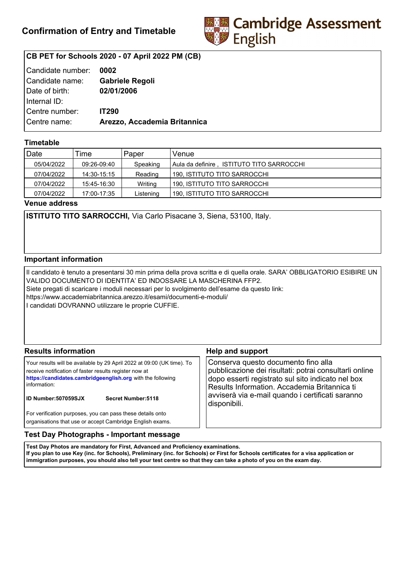

# **CB PET for Schools 2020 - 07 April 2022 PM (CB)**

| Candidate number: | 0002                         |
|-------------------|------------------------------|
| Candidate name:   | <b>Gabriele Regoli</b>       |
| Date of birth:    | 02/01/2006                   |
| Internal ID:      |                              |
| Centre number:    | <b>IT290</b>                 |
| Centre name:      | Arezzo, Accademia Britannica |
|                   |                              |

## **Timetable**

| Date       | Time        | Paper     | Venue                                     |
|------------|-------------|-----------|-------------------------------------------|
| 05/04/2022 | 09:26-09:40 | Speaking  | Aula da definire,ISTITUTO TITO SARROCCHI_ |
| 07/04/2022 | 14:30-15:15 | Reading   | 190, ISTITUTO TITO SARROCCHI              |
| 07/04/2022 | 15:45-16:30 | Writing   | 190. ISTITUTO TITO SARROCCHI              |
| 07/04/2022 | 17:00-17:35 | Listening | 190, ISTITUTO TITO SARROCCHI              |

**Venue address**

**ISTITUTO TITO SARROCCHI,** Via Carlo Pisacane 3, Siena, 53100, Italy.

### **Important information**

Il candidato è tenuto a presentarsi 30 min prima della prova scritta e di quella orale. SARA' OBBLIGATORIO ESIBIRE UN VALIDO DOCUMENTO DI IDENTITA' ED INDOSSARE LA MASCHERINA FFP2. Siete pregati di scaricare i moduli necessari per lo svolgimento dell'esame da questo link: https://www.accademiabritannica.arezzo.it/esami/documenti-e-moduli/ I candidati DOVRANNO utilizzare le proprie CUFFIE.

| <b>Results information</b>                                                                                                                                                                                                                                          | <b>Help and support</b>                                                                                                                                                                                                                                                |
|---------------------------------------------------------------------------------------------------------------------------------------------------------------------------------------------------------------------------------------------------------------------|------------------------------------------------------------------------------------------------------------------------------------------------------------------------------------------------------------------------------------------------------------------------|
| Your results will be available by 29 April 2022 at 09:00 (UK time). To<br>receive notification of faster results register now at<br>https://candidates.cambridgeenglish.org with the following<br>information:<br><b>ID Number:507059SJX</b><br>Secret Number: 5118 | Conserva questo documento fino alla<br>pubblicazione dei risultati: potrai consultarli online<br>dopo esserti registrato sul sito indicato nel box<br>Results Information. Accademia Britannica ti<br>avviserà via e-mail quando i certificati saranno<br>disponibili. |
| For verification purposes, you can pass these details onto<br>organisations that use or accept Cambridge English exams.                                                                                                                                             |                                                                                                                                                                                                                                                                        |

## **Test Day Photographs - Important message**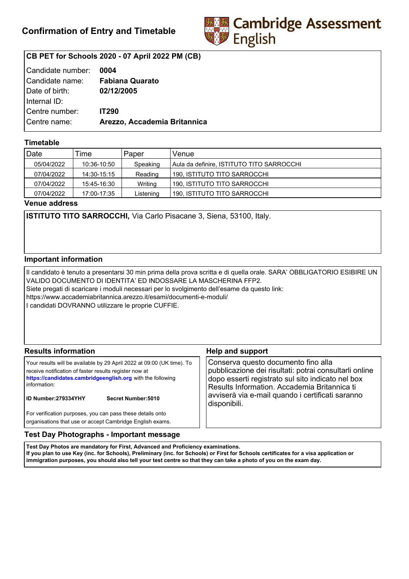

# **CB PET for Schools 2020 - 07 April 2022 PM (CB)**

| Candidate number: | 0004                         |
|-------------------|------------------------------|
| Candidate name:   | <b>Fabiana Quarato</b>       |
| Date of birth:    | 02/12/2005                   |
| Internal ID:      |                              |
| Centre number:    | <b>IT290</b>                 |
| Centre name:      | Arezzo, Accademia Britannica |
|                   |                              |

## **Timetable**

| Date       | Time        | Paper     | Venue                                      |
|------------|-------------|-----------|--------------------------------------------|
| 05/04/2022 | 10:36-10:50 | Speaking  | Aula da definire, ISTITUTO TITO SARROCCHI_ |
| 07/04/2022 | 14:30-15:15 | Reading   | 190, ISTITUTO TITO SARROCCHI               |
| 07/04/2022 | 15:45-16:30 | Writing   | 190. ISTITUTO TITO SARROCCHI               |
| 07/04/2022 | 17:00-17:35 | Listening | 190, ISTITUTO TITO SARROCCHI               |

**Venue address**

**ISTITUTO TITO SARROCCHI,** Via Carlo Pisacane 3, Siena, 53100, Italy.

### **Important information**

Il candidato è tenuto a presentarsi 30 min prima della prova scritta e di quella orale. SARA' OBBLIGATORIO ESIBIRE UN VALIDO DOCUMENTO DI IDENTITA' ED INDOSSARE LA MASCHERINA FFP2. Siete pregati di scaricare i moduli necessari per lo svolgimento dell'esame da questo link: https://www.accademiabritannica.arezzo.it/esami/documenti-e-moduli/ I candidati DOVRANNO utilizzare le proprie CUFFIE.

| <b>Results information</b>                                                                                                                                                                                                                                          | <b>Help and support</b>                                                                                                                                                                                                                                                |  |
|---------------------------------------------------------------------------------------------------------------------------------------------------------------------------------------------------------------------------------------------------------------------|------------------------------------------------------------------------------------------------------------------------------------------------------------------------------------------------------------------------------------------------------------------------|--|
| Your results will be available by 29 April 2022 at 09:00 (UK time). To<br>receive notification of faster results register now at<br>https://candidates.cambridgeenglish.org with the following<br>information:<br><b>ID Number:279334YHY</b><br>Secret Number: 5010 | Conserva questo documento fino alla<br>pubblicazione dei risultati: potrai consultarli online<br>dopo esserti registrato sul sito indicato nel box<br>Results Information. Accademia Britannica ti<br>avviserà via e-mail quando i certificati saranno<br>disponibili. |  |
| For verification purposes, you can pass these details onto<br>organisations that use or accept Cambridge English exams.                                                                                                                                             |                                                                                                                                                                                                                                                                        |  |

### **Test Day Photographs - Important message**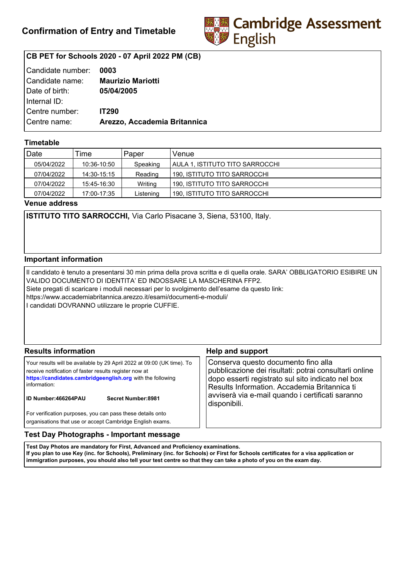

# **CB PET for Schools 2020 - 07 April 2022 PM (CB)**

| Candidate number: | 0003                         |
|-------------------|------------------------------|
| Candidate name:   | <b>Maurizio Mariotti</b>     |
| Date of birth:    | 05/04/2005                   |
| Internal ID:      |                              |
| Centre number:    | <b>IT290</b>                 |
| Centre name:      | Arezzo, Accademia Britannica |
|                   |                              |

## **Timetable**

| Date       | Time        | Paper     | Venue                           |
|------------|-------------|-----------|---------------------------------|
| 05/04/2022 | 10:36-10:50 | Speaking  | AULA 1. ISTITUTO TITO SARROCCHI |
| 07/04/2022 | 14:30-15:15 | Reading   | 190, ISTITUTO TITO SARROCCHI    |
| 07/04/2022 | 15:45-16:30 | Writing   | 190, ISTITUTO TITO SARROCCHI    |
| 07/04/2022 | 17:00-17:35 | Listening | 190, ISTITUTO TITO SARROCCHI    |

**Venue address**

**ISTITUTO TITO SARROCCHI,** Via Carlo Pisacane 3, Siena, 53100, Italy.

### **Important information**

Il candidato è tenuto a presentarsi 30 min prima della prova scritta e di quella orale. SARA' OBBLIGATORIO ESIBIRE UN VALIDO DOCUMENTO DI IDENTITA' ED INDOSSARE LA MASCHERINA FFP2. Siete pregati di scaricare i moduli necessari per lo svolgimento dell'esame da questo link: https://www.accademiabritannica.arezzo.it/esami/documenti-e-moduli/ I candidati DOVRANNO utilizzare le proprie CUFFIE.

| <b>Results information</b>                                                                                                                                                                                                                                          | <b>Help and support</b>                                                                                                                                                                                                                                                |  |
|---------------------------------------------------------------------------------------------------------------------------------------------------------------------------------------------------------------------------------------------------------------------|------------------------------------------------------------------------------------------------------------------------------------------------------------------------------------------------------------------------------------------------------------------------|--|
| Your results will be available by 29 April 2022 at 09:00 (UK time). To<br>receive notification of faster results register now at<br>https://candidates.cambridgeenglish.org with the following<br>information:<br><b>ID Number:466264PAU</b><br>Secret Number: 8981 | Conserva questo documento fino alla<br>pubblicazione dei risultati: potrai consultarli online<br>dopo esserti registrato sul sito indicato nel box<br>Results Information. Accademia Britannica ti<br>avviserà via e-mail quando i certificati saranno<br>disponibili. |  |
| For verification purposes, you can pass these details onto<br>organisations that use or accept Cambridge English exams.                                                                                                                                             |                                                                                                                                                                                                                                                                        |  |

### **Test Day Photographs - Important message**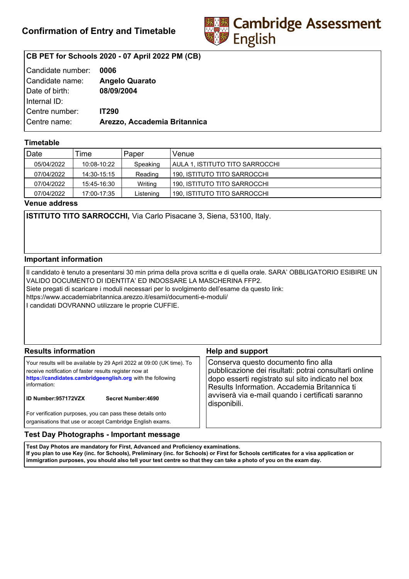

# **CB PET for Schools 2020 - 07 April 2022 PM (CB)**

| Candidate number: | 0006                         |
|-------------------|------------------------------|
| Candidate name:   | <b>Angelo Quarato</b>        |
| Date of birth:    | 08/09/2004                   |
| Internal ID:      |                              |
| Centre number:    | <b>IT290</b>                 |
| Centre name:      | Arezzo, Accademia Britannica |
|                   |                              |

## **Timetable**

| Date       | Time        | Paper     | Venue                           |
|------------|-------------|-----------|---------------------------------|
| 05/04/2022 | 10:08-10:22 | Speaking  | AULA 1. ISTITUTO TITO SARROCCHI |
| 07/04/2022 | 14:30-15:15 | Reading   | 190, ISTITUTO TITO SARROCCHI    |
| 07/04/2022 | 15:45-16:30 | Writing   | 190, ISTITUTO TITO SARROCCHI    |
| 07/04/2022 | 17:00-17:35 | Listening | 190, ISTITUTO TITO SARROCCHI    |

**Venue address**

**ISTITUTO TITO SARROCCHI,** Via Carlo Pisacane 3, Siena, 53100, Italy.

### **Important information**

Il candidato è tenuto a presentarsi 30 min prima della prova scritta e di quella orale. SARA' OBBLIGATORIO ESIBIRE UN VALIDO DOCUMENTO DI IDENTITA' ED INDOSSARE LA MASCHERINA FFP2. Siete pregati di scaricare i moduli necessari per lo svolgimento dell'esame da questo link: https://www.accademiabritannica.arezzo.it/esami/documenti-e-moduli/ I candidati DOVRANNO utilizzare le proprie CUFFIE.

| <b>Results information</b>                                                                                                                                                                                                                                          | <b>Help and support</b>                                                                                                                                                                                                                                                |
|---------------------------------------------------------------------------------------------------------------------------------------------------------------------------------------------------------------------------------------------------------------------|------------------------------------------------------------------------------------------------------------------------------------------------------------------------------------------------------------------------------------------------------------------------|
| Your results will be available by 29 April 2022 at 09:00 (UK time). To<br>receive notification of faster results register now at<br>https://candidates.cambridgeenglish.org with the following<br>information:<br><b>ID Number:957172VZX</b><br>Secret Number: 4690 | Conserva questo documento fino alla<br>pubblicazione dei risultati: potrai consultarli online<br>dopo esserti registrato sul sito indicato nel box<br>Results Information. Accademia Britannica ti<br>avviserà via e-mail quando i certificati saranno<br>disponibili. |
| For verification purposes, you can pass these details onto<br>organisations that use or accept Cambridge English exams.                                                                                                                                             |                                                                                                                                                                                                                                                                        |

### **Test Day Photographs - Important message**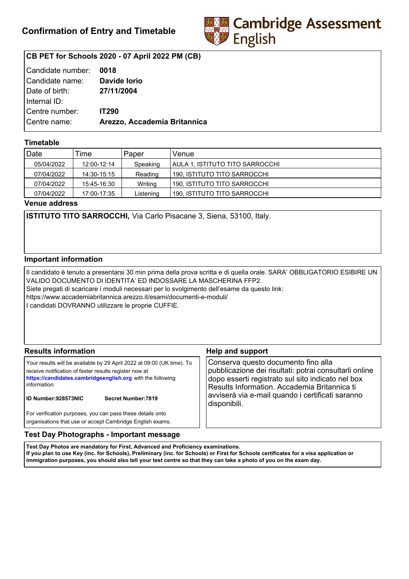

# **CB PET for Schools 2020 - 07 April 2022 PM (CB)**

| Candidate number: 0018 |                              |
|------------------------|------------------------------|
| Candidate name:        | Davide lorio                 |
| Date of birth:         | 27/11/2004                   |
| Internal ID:           |                              |
| Centre number:         | <b>IT290</b>                 |
| Centre name:           | Arezzo, Accademia Britannica |
|                        |                              |

## **Timetable**

| Date       | Time        | Paper     | Venue                           |
|------------|-------------|-----------|---------------------------------|
| 05/04/2022 | 12:00-12:14 | Speaking  | AULA 1. ISTITUTO TITO SARROCCHI |
| 07/04/2022 | 14:30-15:15 | Reading   | 190, ISTITUTO TITO SARROCCHI    |
| 07/04/2022 | 15:45-16:30 | Writing   | 190, ISTITUTO TITO SARROCCHI    |
| 07/04/2022 | 17:00-17:35 | Listening | 190. ISTITUTO TITO SARROCCHI    |

**Venue address**

**ISTITUTO TITO SARROCCHI,** Via Carlo Pisacane 3, Siena, 53100, Italy.

### **Important information**

Il candidato è tenuto a presentarsi 30 min prima della prova scritta e di quella orale. SARA' OBBLIGATORIO ESIBIRE UN VALIDO DOCUMENTO DI IDENTITA' ED INDOSSARE LA MASCHERINA FFP2. Siete pregati di scaricare i moduli necessari per lo svolgimento dell'esame da questo link: https://www.accademiabritannica.arezzo.it/esami/documenti-e-moduli/ I candidati DOVRANNO utilizzare le proprie CUFFIE.

| <b>Results information</b>                                                                                                                                                                                                                                          | <b>Help and support</b>                                                                                                                                                                                                                                                |
|---------------------------------------------------------------------------------------------------------------------------------------------------------------------------------------------------------------------------------------------------------------------|------------------------------------------------------------------------------------------------------------------------------------------------------------------------------------------------------------------------------------------------------------------------|
| Your results will be available by 29 April 2022 at 09:00 (UK time). To<br>receive notification of faster results register now at<br>https://candidates.cambridgeenglish.org with the following<br>information:<br><b>ID Number:928573NIC</b><br>Secret Number: 7819 | Conserva questo documento fino alla<br>pubblicazione dei risultati: potrai consultarli online<br>dopo esserti registrato sul sito indicato nel box<br>Results Information. Accademia Britannica ti<br>avviserà via e-mail quando i certificati saranno<br>disponibili. |
| For verification purposes, you can pass these details onto<br>organisations that use or accept Cambridge English exams.                                                                                                                                             |                                                                                                                                                                                                                                                                        |

### **Test Day Photographs - Important message**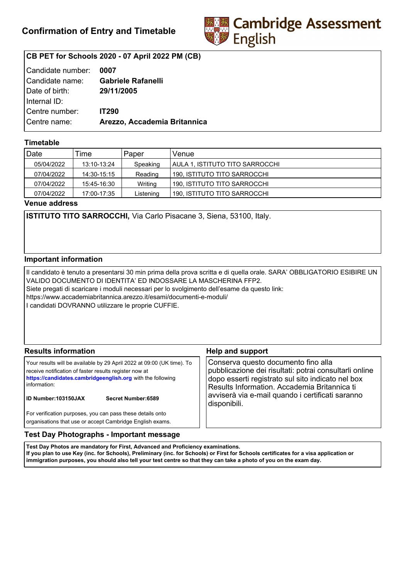

# **CB PET for Schools 2020 - 07 April 2022 PM (CB)**

| Candidate number: | 0007                         |
|-------------------|------------------------------|
| l Candidate name: | <b>Gabriele Rafanelli</b>    |
| Date of birth:    | 29/11/2005                   |
| Internal ID:      |                              |
| Centre number:    | <b>IT290</b>                 |
| Centre name:      | Arezzo, Accademia Britannica |
|                   |                              |

## **Timetable**

| Date       | Time        | Paper     | Venue                           |
|------------|-------------|-----------|---------------------------------|
| 05/04/2022 | 13:10-13:24 | Speaking  | AULA 1. ISTITUTO TITO SARROCCHI |
| 07/04/2022 | 14:30-15:15 | Reading   | 190, ISTITUTO TITO SARROCCHI    |
| 07/04/2022 | 15:45-16:30 | Writing   | 190. ISTITUTO TITO SARROCCHI    |
| 07/04/2022 | 17:00-17:35 | Listening | 190, ISTITUTO TITO SARROCCHI    |

**Venue address**

**ISTITUTO TITO SARROCCHI,** Via Carlo Pisacane 3, Siena, 53100, Italy.

### **Important information**

Il candidato è tenuto a presentarsi 30 min prima della prova scritta e di quella orale. SARA' OBBLIGATORIO ESIBIRE UN VALIDO DOCUMENTO DI IDENTITA' ED INDOSSARE LA MASCHERINA FFP2. Siete pregati di scaricare i moduli necessari per lo svolgimento dell'esame da questo link: https://www.accademiabritannica.arezzo.it/esami/documenti-e-moduli/ I candidati DOVRANNO utilizzare le proprie CUFFIE.

| <b>Results information</b>                                                                                                                                                                                                                                          | <b>Help and support</b>                                                                                                                                                                                                                                                |
|---------------------------------------------------------------------------------------------------------------------------------------------------------------------------------------------------------------------------------------------------------------------|------------------------------------------------------------------------------------------------------------------------------------------------------------------------------------------------------------------------------------------------------------------------|
| Your results will be available by 29 April 2022 at 09:00 (UK time). To<br>receive notification of faster results register now at<br>https://candidates.cambridgeenglish.org with the following<br>information:<br><b>ID Number:103150JAX</b><br>Secret Number: 6589 | Conserva questo documento fino alla<br>pubblicazione dei risultati: potrai consultarli online<br>dopo esserti registrato sul sito indicato nel box<br>Results Information. Accademia Britannica ti<br>avviserà via e-mail quando i certificati saranno<br>disponibili. |
| For verification purposes, you can pass these details onto<br>organisations that use or accept Cambridge English exams.                                                                                                                                             |                                                                                                                                                                                                                                                                        |

## **Test Day Photographs - Important message**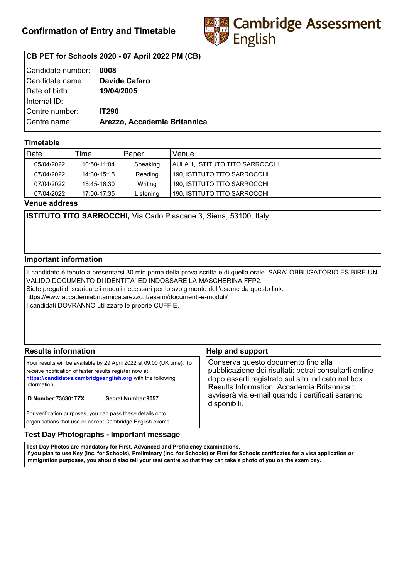

# **CB PET for Schools 2020 - 07 April 2022 PM (CB)**

| Candidate number: | 0008                         |
|-------------------|------------------------------|
| Candidate name:   | <b>Davide Cafaro</b>         |
| Date of birth:    | 19/04/2005                   |
| Internal ID:      |                              |
| Centre number:    | <b>IT290</b>                 |
| Centre name:      | Arezzo, Accademia Britannica |
|                   |                              |

## **Timetable**

| Date       | Time        | Paper     | Venue                           |
|------------|-------------|-----------|---------------------------------|
| 05/04/2022 | 10:50-11:04 | Speaking  | AULA 1. ISTITUTO TITO SARROCCHI |
| 07/04/2022 | 14:30-15:15 | Reading   | 190, ISTITUTO TITO SARROCCHI    |
| 07/04/2022 | 15:45-16:30 | Writing   | 190, ISTITUTO TITO SARROCCHI    |
| 07/04/2022 | 17:00-17:35 | Listening | 190, ISTITUTO TITO SARROCCHI    |

**Venue address**

**ISTITUTO TITO SARROCCHI,** Via Carlo Pisacane 3, Siena, 53100, Italy.

### **Important information**

Il candidato è tenuto a presentarsi 30 min prima della prova scritta e di quella orale. SARA' OBBLIGATORIO ESIBIRE UN VALIDO DOCUMENTO DI IDENTITA' ED INDOSSARE LA MASCHERINA FFP2. Siete pregati di scaricare i moduli necessari per lo svolgimento dell'esame da questo link: https://www.accademiabritannica.arezzo.it/esami/documenti-e-moduli/ I candidati DOVRANNO utilizzare le proprie CUFFIE.

| <b>Results information</b>                                                                                                                                                                                                                                          | <b>Help and support</b>                                                                                                                                                                                                                                                |
|---------------------------------------------------------------------------------------------------------------------------------------------------------------------------------------------------------------------------------------------------------------------|------------------------------------------------------------------------------------------------------------------------------------------------------------------------------------------------------------------------------------------------------------------------|
| Your results will be available by 29 April 2022 at 09:00 (UK time). To<br>receive notification of faster results register now at<br>https://candidates.cambridgeenglish.org with the following<br>information:<br><b>ID Number:736301TZX</b><br>Secret Number: 9057 | Conserva questo documento fino alla<br>pubblicazione dei risultati: potrai consultarli online<br>dopo esserti registrato sul sito indicato nel box<br>Results Information. Accademia Britannica ti<br>avviserà via e-mail quando i certificati saranno<br>disponibili. |
| For verification purposes, you can pass these details onto<br>organisations that use or accept Cambridge English exams.                                                                                                                                             |                                                                                                                                                                                                                                                                        |

### **Test Day Photographs - Important message**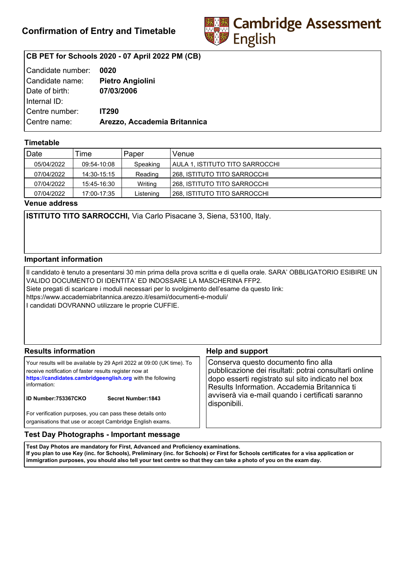

# **CB PET for Schools 2020 - 07 April 2022 PM (CB)**

| Candidate number: | 0020                         |
|-------------------|------------------------------|
| Candidate name:   | <b>Pietro Angiolini</b>      |
| Date of birth:    | 07/03/2006                   |
| Internal ID:      |                              |
| Centre number:    | <b>IT290</b>                 |
| Centre name:      | Arezzo, Accademia Britannica |
|                   |                              |

## **Timetable**

| Date       | Time        | Paper     | Venue                           |
|------------|-------------|-----------|---------------------------------|
| 05/04/2022 | 09:54-10:08 | Speaking  | AULA 1. ISTITUTO TITO SARROCCHI |
| 07/04/2022 | 14:30-15:15 | Reading   | 1268. ISTITUTO TITO SARROCCHI   |
| 07/04/2022 | 15:45-16:30 | Writing   | 1268, ISTITUTO TITO SARROCCHI   |
| 07/04/2022 | 17:00-17:35 | Listening | 268, ISTITUTO TITO SARROCCHI    |

**Venue address**

**ISTITUTO TITO SARROCCHI,** Via Carlo Pisacane 3, Siena, 53100, Italy.

### **Important information**

Il candidato è tenuto a presentarsi 30 min prima della prova scritta e di quella orale. SARA' OBBLIGATORIO ESIBIRE UN VALIDO DOCUMENTO DI IDENTITA' ED INDOSSARE LA MASCHERINA FFP2. Siete pregati di scaricare i moduli necessari per lo svolgimento dell'esame da questo link: https://www.accademiabritannica.arezzo.it/esami/documenti-e-moduli/ I candidati DOVRANNO utilizzare le proprie CUFFIE.

| <b>Results information</b>                                                                                                                                                                                                                                   | <b>Help and support</b>                                                                                                                                                                                                                                                |
|--------------------------------------------------------------------------------------------------------------------------------------------------------------------------------------------------------------------------------------------------------------|------------------------------------------------------------------------------------------------------------------------------------------------------------------------------------------------------------------------------------------------------------------------|
| Your results will be available by 29 April 2022 at 09:00 (UK time). To<br>receive notification of faster results register now at<br>https://candidates.cambridgeenglish.org with the following<br>information:<br>ID Number:753367CKO<br>Secret Number: 1843 | Conserva questo documento fino alla<br>pubblicazione dei risultati: potrai consultarli online<br>dopo esserti registrato sul sito indicato nel box<br>Results Information. Accademia Britannica ti<br>avviserà via e-mail quando i certificati saranno<br>disponibili. |
| For verification purposes, you can pass these details onto<br>organisations that use or accept Cambridge English exams.                                                                                                                                      |                                                                                                                                                                                                                                                                        |

### **Test Day Photographs - Important message**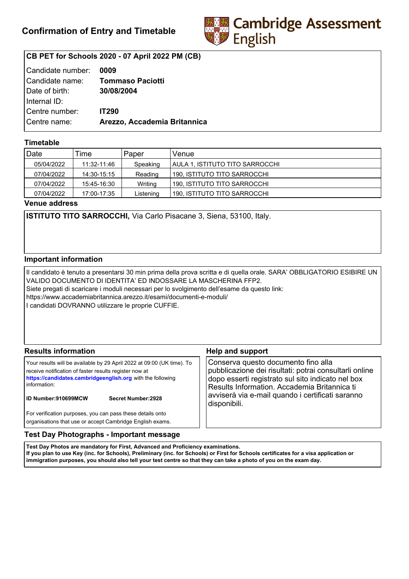

# **CB PET for Schools 2020 - 07 April 2022 PM (CB)**

| Candidate number: | 0009                         |
|-------------------|------------------------------|
| Candidate name:   | <b>Tommaso Paciotti</b>      |
| Date of birth:    | 30/08/2004                   |
| Internal ID:      |                              |
| Centre number:    | <b>IT290</b>                 |
| Centre name:      | Arezzo, Accademia Britannica |
|                   |                              |

## **Timetable**

| Date       | Time        | Paper     | Venue                           |
|------------|-------------|-----------|---------------------------------|
| 05/04/2022 | 11:32-11:46 | Speaking  | AULA 1. ISTITUTO TITO SARROCCHI |
| 07/04/2022 | 14:30-15:15 | Reading   | 190, ISTITUTO TITO SARROCCHI    |
| 07/04/2022 | 15:45-16:30 | Writing   | 190. ISTITUTO TITO SARROCCHI    |
| 07/04/2022 | 17:00-17:35 | Listening | 190, ISTITUTO TITO SARROCCHI    |

**Venue address**

**ISTITUTO TITO SARROCCHI,** Via Carlo Pisacane 3, Siena, 53100, Italy.

### **Important information**

Il candidato è tenuto a presentarsi 30 min prima della prova scritta e di quella orale. SARA' OBBLIGATORIO ESIBIRE UN VALIDO DOCUMENTO DI IDENTITA' ED INDOSSARE LA MASCHERINA FFP2. Siete pregati di scaricare i moduli necessari per lo svolgimento dell'esame da questo link: https://www.accademiabritannica.arezzo.it/esami/documenti-e-moduli/ I candidati DOVRANNO utilizzare le proprie CUFFIE.

| <b>Results information</b>                                                                                                                                                                                                                                          | <b>Help and support</b>                                                                                                                                                                                                                                                |
|---------------------------------------------------------------------------------------------------------------------------------------------------------------------------------------------------------------------------------------------------------------------|------------------------------------------------------------------------------------------------------------------------------------------------------------------------------------------------------------------------------------------------------------------------|
| Your results will be available by 29 April 2022 at 09:00 (UK time). To<br>receive notification of faster results register now at<br>https://candidates.cambridgeenglish.org with the following<br>information:<br><b>ID Number:910699MCW</b><br>Secret Number: 2928 | Conserva questo documento fino alla<br>pubblicazione dei risultati: potrai consultarli online<br>dopo esserti registrato sul sito indicato nel box<br>Results Information. Accademia Britannica ti<br>avviserà via e-mail quando i certificati saranno<br>disponibili. |
| For verification purposes, you can pass these details onto<br>organisations that use or accept Cambridge English exams.                                                                                                                                             |                                                                                                                                                                                                                                                                        |

### **Test Day Photographs - Important message**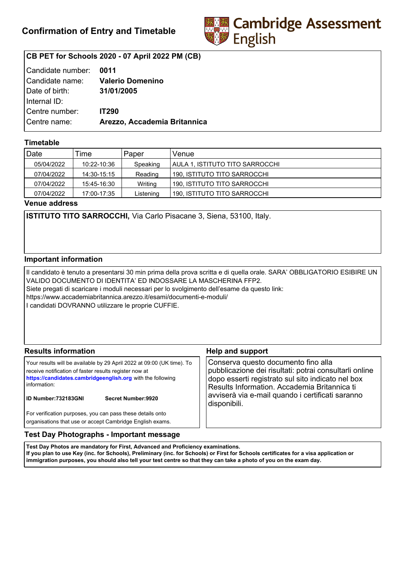

# **CB PET for Schools 2020 - 07 April 2022 PM (CB)**

| Candidate number: 0011 |                              |
|------------------------|------------------------------|
| Candidate name:        | <b>Valerio Domenino</b>      |
| Date of birth:         | 31/01/2005                   |
| Internal ID:           |                              |
| Centre number:         | <b>IT290</b>                 |
| Centre name:           | Arezzo, Accademia Britannica |
|                        |                              |

## **Timetable**

| Date       | Time        | Paper     | Venue                           |
|------------|-------------|-----------|---------------------------------|
| 05/04/2022 | 10:22-10:36 | Speaking  | AULA 1. ISTITUTO TITO SARROCCHI |
| 07/04/2022 | 14:30-15:15 | Reading   | 190, ISTITUTO TITO SARROCCHI    |
| 07/04/2022 | 15:45-16:30 | Writing   | 190. ISTITUTO TITO SARROCCHI    |
| 07/04/2022 | 17:00-17:35 | Listening | 190, ISTITUTO TITO SARROCCHI    |

**Venue address**

**ISTITUTO TITO SARROCCHI,** Via Carlo Pisacane 3, Siena, 53100, Italy.

### **Important information**

Il candidato è tenuto a presentarsi 30 min prima della prova scritta e di quella orale. SARA' OBBLIGATORIO ESIBIRE UN VALIDO DOCUMENTO DI IDENTITA' ED INDOSSARE LA MASCHERINA FFP2. Siete pregati di scaricare i moduli necessari per lo svolgimento dell'esame da questo link: https://www.accademiabritannica.arezzo.it/esami/documenti-e-moduli/ I candidati DOVRANNO utilizzare le proprie CUFFIE.

| <b>Results information</b>                                                                                                                                                                                                                                          | <b>Help and support</b>                                                                                                                                                                                                                                                |
|---------------------------------------------------------------------------------------------------------------------------------------------------------------------------------------------------------------------------------------------------------------------|------------------------------------------------------------------------------------------------------------------------------------------------------------------------------------------------------------------------------------------------------------------------|
| Your results will be available by 29 April 2022 at 09:00 (UK time). To<br>receive notification of faster results register now at<br>https://candidates.cambridgeenglish.org with the following<br>information:<br><b>ID Number:732183GNI</b><br>Secret Number: 9920 | Conserva questo documento fino alla<br>pubblicazione dei risultati: potrai consultarli online<br>dopo esserti registrato sul sito indicato nel box<br>Results Information. Accademia Britannica ti<br>avviserà via e-mail quando i certificati saranno<br>disponibili. |
| For verification purposes, you can pass these details onto<br>organisations that use or accept Cambridge English exams.                                                                                                                                             |                                                                                                                                                                                                                                                                        |

### **Test Day Photographs - Important message**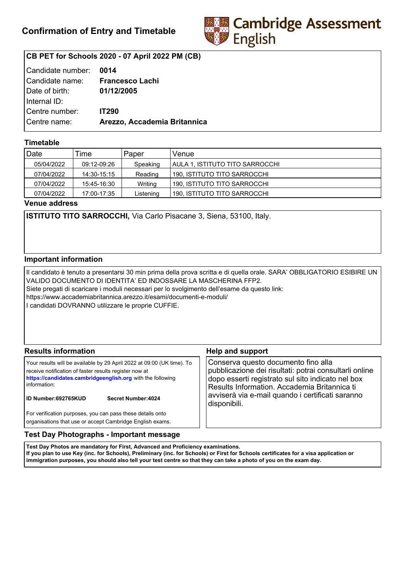

# **CB PET for Schools 2020 - 07 April 2022 PM (CB)**

| Candidate number: | 0014                         |
|-------------------|------------------------------|
| Candidate name:   | <b>Francesco Lachi</b>       |
| Date of birth:    | 01/12/2005                   |
| Internal ID:      |                              |
| Centre number:    | <b>IT290</b>                 |
| Centre name:      | Arezzo, Accademia Britannica |
|                   |                              |

## **Timetable**

| Date       | Time        | Paper     | Venue                           |
|------------|-------------|-----------|---------------------------------|
| 05/04/2022 | 09:12-09:26 | Speaking  | AULA 1. ISTITUTO TITO SARROCCHI |
| 07/04/2022 | 14:30-15:15 | Reading   | 190, ISTITUTO TITO SARROCCHI    |
| 07/04/2022 | 15:45-16:30 | Writing   | 190. ISTITUTO TITO SARROCCHI    |
| 07/04/2022 | 17:00-17:35 | Listening | 190, ISTITUTO TITO SARROCCHI    |

**Venue address**

**ISTITUTO TITO SARROCCHI,** Via Carlo Pisacane 3, Siena, 53100, Italy.

### **Important information**

Il candidato è tenuto a presentarsi 30 min prima della prova scritta e di quella orale. SARA' OBBLIGATORIO ESIBIRE UN VALIDO DOCUMENTO DI IDENTITA' ED INDOSSARE LA MASCHERINA FFP2. Siete pregati di scaricare i moduli necessari per lo svolgimento dell'esame da questo link: https://www.accademiabritannica.arezzo.it/esami/documenti-e-moduli/ I candidati DOVRANNO utilizzare le proprie CUFFIE.

| <b>Results information</b>                                                                                                                                                                                                                                          | <b>Help and support</b>                                                                                                                                                                                                                                                |
|---------------------------------------------------------------------------------------------------------------------------------------------------------------------------------------------------------------------------------------------------------------------|------------------------------------------------------------------------------------------------------------------------------------------------------------------------------------------------------------------------------------------------------------------------|
| Your results will be available by 29 April 2022 at 09:00 (UK time). To<br>receive notification of faster results register now at<br>https://candidates.cambridgeenglish.org with the following<br>information:<br><b>ID Number:692765KUD</b><br>Secret Number: 4024 | Conserva questo documento fino alla<br>pubblicazione dei risultati: potrai consultarli online<br>dopo esserti registrato sul sito indicato nel box<br>Results Information. Accademia Britannica ti<br>avviserà via e-mail quando i certificati saranno<br>disponibili. |
| For verification purposes, you can pass these details onto<br>organisations that use or accept Cambridge English exams.                                                                                                                                             |                                                                                                                                                                                                                                                                        |

## **Test Day Photographs - Important message**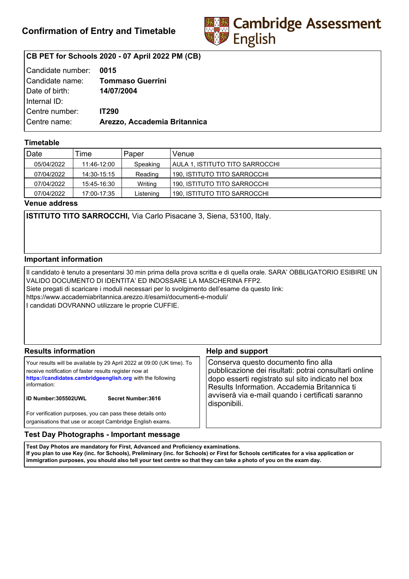

# **CB PET for Schools 2020 - 07 April 2022 PM (CB)**

| Candidate number: | 0015                         |
|-------------------|------------------------------|
| Candidate name:   | <b>Tommaso Guerrini</b>      |
| Date of birth:    | 14/07/2004                   |
| Internal ID:      |                              |
| Centre number:    | <b>IT290</b>                 |
| Centre name:      | Arezzo, Accademia Britannica |
|                   |                              |

## **Timetable**

| Date       | Time        | Paper     | Venue                           |
|------------|-------------|-----------|---------------------------------|
| 05/04/2022 | 11:46-12:00 | Speaking  | AULA 1. ISTITUTO TITO SARROCCHI |
| 07/04/2022 | 14:30-15:15 | Reading   | 190, ISTITUTO TITO SARROCCHI    |
| 07/04/2022 | 15:45-16:30 | Writing   | 190. ISTITUTO TITO SARROCCHI    |
| 07/04/2022 | 17:00-17:35 | Listening | 190, ISTITUTO TITO SARROCCHI    |

**Venue address**

**ISTITUTO TITO SARROCCHI,** Via Carlo Pisacane 3, Siena, 53100, Italy.

### **Important information**

Il candidato è tenuto a presentarsi 30 min prima della prova scritta e di quella orale. SARA' OBBLIGATORIO ESIBIRE UN VALIDO DOCUMENTO DI IDENTITA' ED INDOSSARE LA MASCHERINA FFP2. Siete pregati di scaricare i moduli necessari per lo svolgimento dell'esame da questo link: https://www.accademiabritannica.arezzo.it/esami/documenti-e-moduli/ I candidati DOVRANNO utilizzare le proprie CUFFIE.

| <b>Results information</b>                                                                                                                                                                                                                                          | <b>Help and support</b>                                                                                                                                                                                                                                                |
|---------------------------------------------------------------------------------------------------------------------------------------------------------------------------------------------------------------------------------------------------------------------|------------------------------------------------------------------------------------------------------------------------------------------------------------------------------------------------------------------------------------------------------------------------|
| Your results will be available by 29 April 2022 at 09:00 (UK time). To<br>receive notification of faster results register now at<br>https://candidates.cambridgeenglish.org with the following<br>information:<br><b>ID Number:305502UWL</b><br>Secret Number: 3616 | Conserva questo documento fino alla<br>pubblicazione dei risultati: potrai consultarli online<br>dopo esserti registrato sul sito indicato nel box<br>Results Information. Accademia Britannica ti<br>avviserà via e-mail quando i certificati saranno<br>disponibili. |
| For verification purposes, you can pass these details onto<br>organisations that use or accept Cambridge English exams.                                                                                                                                             |                                                                                                                                                                                                                                                                        |

## **Test Day Photographs - Important message**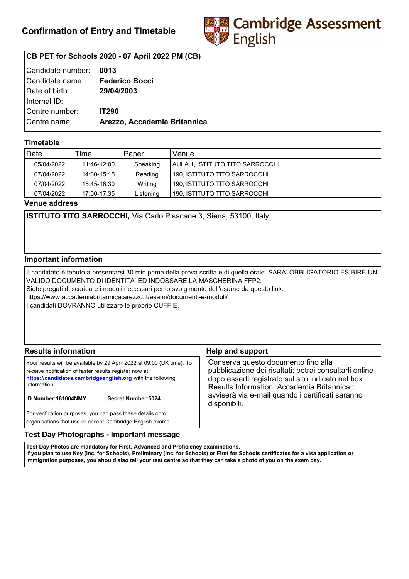

# **CB PET for Schools 2020 - 07 April 2022 PM (CB)**

| Candidate number: 0013 |                              |
|------------------------|------------------------------|
| Candidate name:        | <b>Federico Bocci</b>        |
| Date of birth:         | 29/04/2003                   |
| Internal ID:           |                              |
| Centre number:         | <b>IT290</b>                 |
| Centre name:           | Arezzo, Accademia Britannica |
|                        |                              |

## **Timetable**

| Date       | Time        | Paper     | Venue                           |
|------------|-------------|-----------|---------------------------------|
| 05/04/2022 | 11:46-12:00 | Speaking  | AULA 1. ISTITUTO TITO SARROCCHI |
| 07/04/2022 | 14:30-15:15 | Reading   | 190, ISTITUTO TITO SARROCCHI    |
| 07/04/2022 | 15:45-16:30 | Writing   | 190. ISTITUTO TITO SARROCCHI    |
| 07/04/2022 | 17:00-17:35 | Listening | 190, ISTITUTO TITO SARROCCHI    |

**Venue address**

**ISTITUTO TITO SARROCCHI,** Via Carlo Pisacane 3, Siena, 53100, Italy.

### **Important information**

Il candidato è tenuto a presentarsi 30 min prima della prova scritta e di quella orale. SARA' OBBLIGATORIO ESIBIRE UN VALIDO DOCUMENTO DI IDENTITA' ED INDOSSARE LA MASCHERINA FFP2. Siete pregati di scaricare i moduli necessari per lo svolgimento dell'esame da questo link: https://www.accademiabritannica.arezzo.it/esami/documenti-e-moduli/ I candidati DOVRANNO utilizzare le proprie CUFFIE.

| <b>Results information</b>                                                                                                                                                                                                                                          | <b>Help and support</b>                                                                                                                                                                                                                                                |
|---------------------------------------------------------------------------------------------------------------------------------------------------------------------------------------------------------------------------------------------------------------------|------------------------------------------------------------------------------------------------------------------------------------------------------------------------------------------------------------------------------------------------------------------------|
| Your results will be available by 29 April 2022 at 09:00 (UK time). To<br>receive notification of faster results register now at<br>https://candidates.cambridgeenglish.org with the following<br>information:<br><b>ID Number:181004NMY</b><br>Secret Number: 5024 | Conserva questo documento fino alla<br>pubblicazione dei risultati: potrai consultarli online<br>dopo esserti registrato sul sito indicato nel box<br>Results Information. Accademia Britannica ti<br>avviserà via e-mail quando i certificati saranno<br>disponibili. |
| For verification purposes, you can pass these details onto<br>organisations that use or accept Cambridge English exams.                                                                                                                                             |                                                                                                                                                                                                                                                                        |

## **Test Day Photographs - Important message**